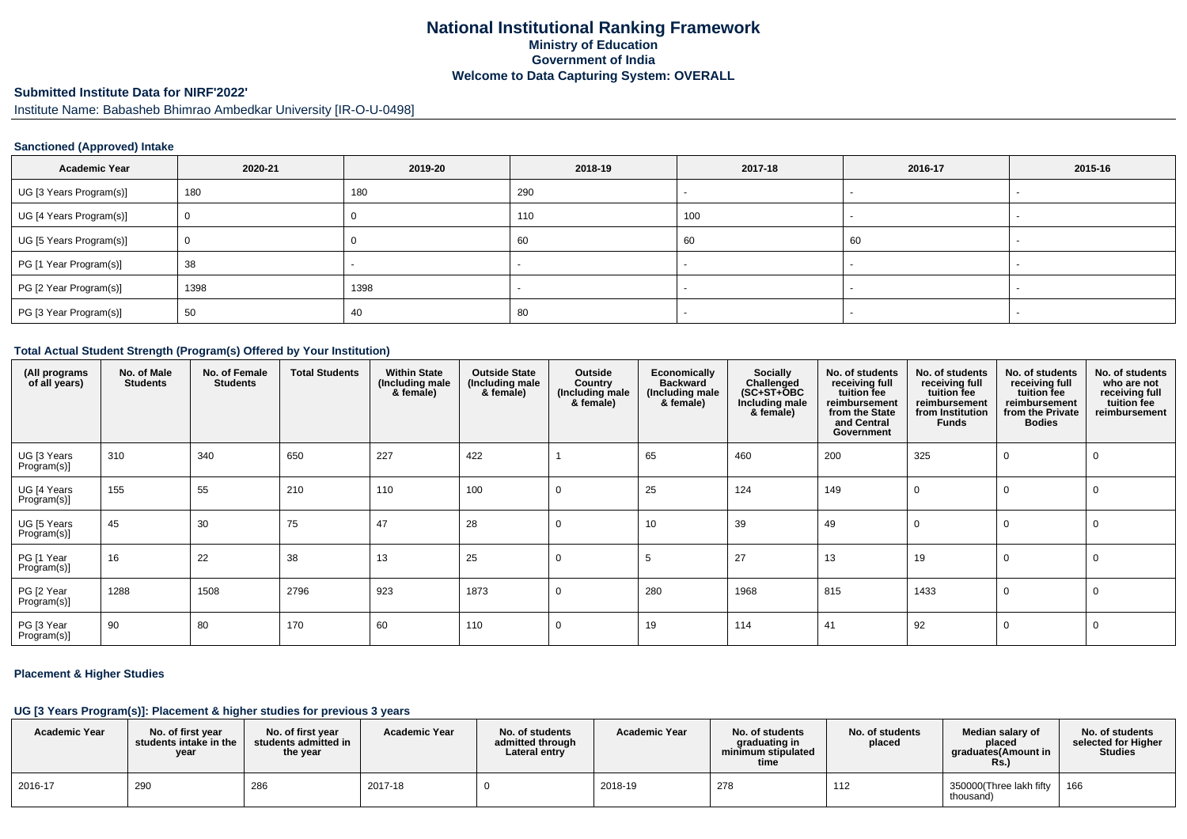## **National Institutional Ranking FrameworkMinistry of Education Government of IndiaWelcome to Data Capturing System: OVERALL**

## **Submitted Institute Data for NIRF'2022'**

Institute Name: Babasheb Bhimrao Ambedkar University [IR-O-U-0498]

#### **Sanctioned (Approved) Intake**

| <b>Academic Year</b>    | 2020-21 | 2019-20 | 2018-19 | 2017-18 | 2016-17 | 2015-16 |
|-------------------------|---------|---------|---------|---------|---------|---------|
| UG [3 Years Program(s)] | 180     | 180     | 290     |         |         |         |
| UG [4 Years Program(s)] |         |         | 110     | 100     |         |         |
| UG [5 Years Program(s)] |         |         | 60      | 60      | 60      |         |
| PG [1 Year Program(s)]  | 38      |         |         |         |         |         |
| PG [2 Year Program(s)]  | 1398    | 1398    |         |         |         |         |
| PG [3 Year Program(s)]  | 50      | 40      | 80      |         |         |         |

#### **Total Actual Student Strength (Program(s) Offered by Your Institution)**

| (All programs<br>of all years) | No. of Male<br><b>Students</b> | No. of Female<br><b>Students</b> | <b>Total Students</b> | <b>Within State</b><br>(Including male<br>& female) | <b>Outside State</b><br>(Including male<br>& female) | Outside<br>Country<br>(Including male<br>& female) | Economically<br><b>Backward</b><br>(Including male<br>& female) | Socially<br>Challenged<br>$(SC+ST+\text{O}BC)$<br>Including male<br>& female) | No. of students<br>receiving full<br>tuition fee<br>reimbursement<br>from the State<br>and Central<br>Government | No. of students<br>receiving full<br>tuition fee<br>reimbursement<br>from Institution<br><b>Funds</b> | No. of students<br>receiving full<br>tuition fee<br>reimbursement<br>from the Private<br><b>Bodies</b> | No. of students<br>who are not<br>receiving full<br>tuition fee<br>reimbursement |
|--------------------------------|--------------------------------|----------------------------------|-----------------------|-----------------------------------------------------|------------------------------------------------------|----------------------------------------------------|-----------------------------------------------------------------|-------------------------------------------------------------------------------|------------------------------------------------------------------------------------------------------------------|-------------------------------------------------------------------------------------------------------|--------------------------------------------------------------------------------------------------------|----------------------------------------------------------------------------------|
| UG [3 Years<br>Program(s)]     | 310                            | 340                              | 650                   | 227                                                 | 422                                                  |                                                    | 65                                                              | 460                                                                           | 200                                                                                                              | 325                                                                                                   |                                                                                                        |                                                                                  |
| UG [4 Years<br>Program(s)]     | 155                            | 55                               | 210                   | 110                                                 | 100                                                  | $\mathbf 0$                                        | 25                                                              | 124                                                                           | 149                                                                                                              |                                                                                                       |                                                                                                        | $\Omega$                                                                         |
| UG [5 Years<br>Program(s)]     | 45                             | 30                               | 75                    | 47                                                  | 28                                                   | $\Omega$                                           | 10                                                              | 39                                                                            | 49                                                                                                               |                                                                                                       |                                                                                                        | -0                                                                               |
| PG [1 Year<br>Program(s)]      | 16                             | 22                               | 38                    | 13                                                  | 25                                                   | $\mathbf 0$                                        | -5                                                              | 27                                                                            | 13                                                                                                               | 19                                                                                                    |                                                                                                        | 0                                                                                |
| PG [2 Year<br>Program(s)]      | 1288                           | 1508                             | 2796                  | 923                                                 | 1873                                                 | $\mathbf 0$                                        | 280                                                             | 1968                                                                          | 815                                                                                                              | 1433                                                                                                  | 0                                                                                                      |                                                                                  |
| PG [3 Year<br>Program(s)]      | 90                             | 80                               | 170                   | 60                                                  | 110                                                  | $\mathbf 0$                                        | 19                                                              | 114                                                                           | 41                                                                                                               | 92                                                                                                    | 0                                                                                                      | -0                                                                               |

#### **Placement & Higher Studies**

### **UG [3 Years Program(s)]: Placement & higher studies for previous 3 years**

| <b>Academic Year</b> | No. of first vear<br>students intake in the I<br>year | No. of first year<br>students admitted in<br>the year | <b>Academic Year</b> | No. of students<br>admitted through<br>Lateral entry | <b>Academic Year</b> | No. of students<br>graduating in<br>minimum stipulated<br>time | No. of students<br>placed | Median salary of<br>placed<br>araduates(Amount in<br>Rs. | No. of students<br>selected for Higher<br><b>Studies</b> |
|----------------------|-------------------------------------------------------|-------------------------------------------------------|----------------------|------------------------------------------------------|----------------------|----------------------------------------------------------------|---------------------------|----------------------------------------------------------|----------------------------------------------------------|
| 2016-17              | 290                                                   | 286                                                   | 2017-18              |                                                      | 2018-19              | 278                                                            | 112                       | 350000 (Three lakh fifty<br>thousand)                    | 166                                                      |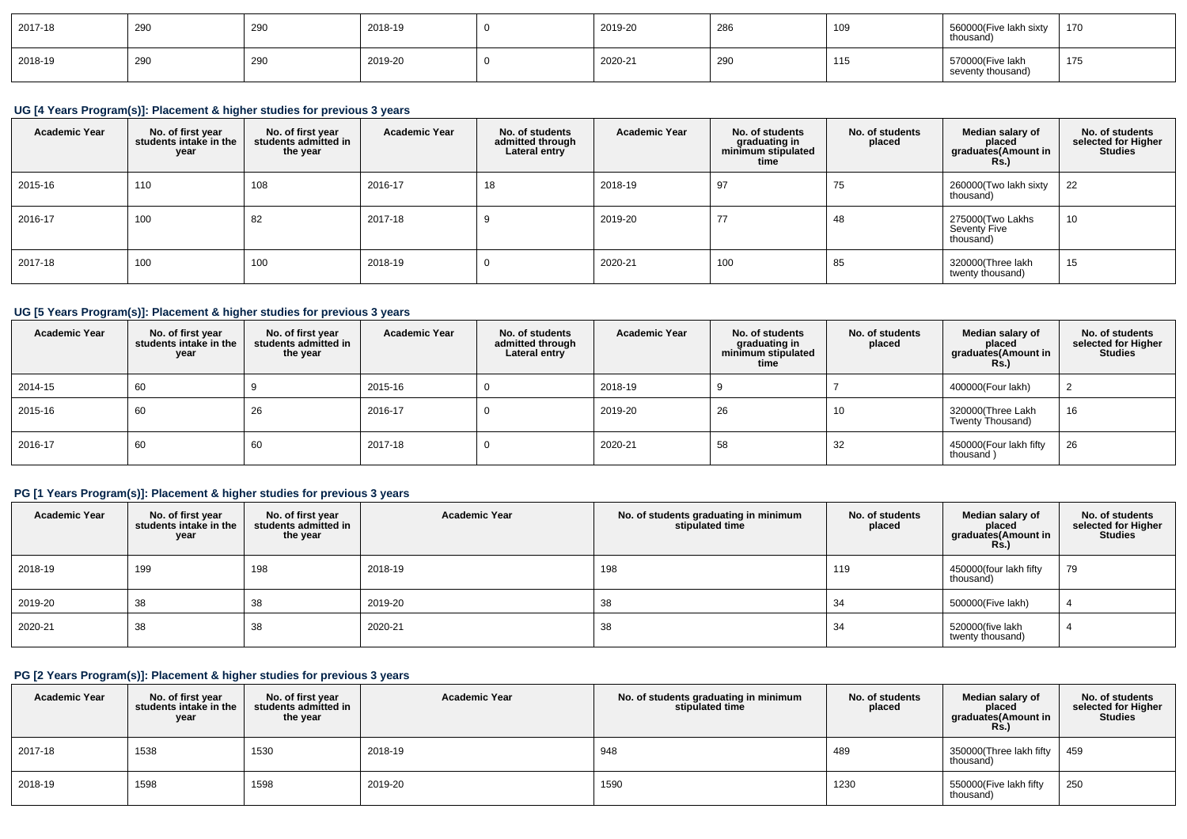| 2017-18 | 290 | 290 | 2018-19 | 2019-20 | 286                   | ט ו | 560000(Five lakh sixty<br>thousand)   | 170          |
|---------|-----|-----|---------|---------|-----------------------|-----|---------------------------------------|--------------|
| 2018-19 | 290 | 290 | 2019-20 | 2020-21 | n <sub>0</sub><br>790 | טוו | 570000(Five lakh<br>seventy thousand) | 171<br>ن ، ، |

# **UG [4 Years Program(s)]: Placement & higher studies for previous 3 years**

| <b>Academic Year</b> | No. of first year<br>students intake in the<br>year | No. of first year<br>students admitted in<br>the year | <b>Academic Year</b> | No. of students<br>admitted through<br>Lateral entry | <b>Academic Year</b> | No. of students<br>graduating in<br>minimum stipulated<br>time | No. of students<br>placed | Median salary of<br>placed<br>graduates(Amount in<br><b>Rs.)</b> | No. of students<br>selected for Higher<br><b>Studies</b> |
|----------------------|-----------------------------------------------------|-------------------------------------------------------|----------------------|------------------------------------------------------|----------------------|----------------------------------------------------------------|---------------------------|------------------------------------------------------------------|----------------------------------------------------------|
| 2015-16              | 110                                                 | 108                                                   | 2016-17              | 18                                                   | 2018-19              | 97                                                             | 75                        | 260000(Two lakh sixty<br>thousand)                               | 22                                                       |
| 2016-17              | 100                                                 | 82                                                    | 2017-18              |                                                      | 2019-20              | 77                                                             | 48                        | 275000(Two Lakhs<br>Seventy Five<br>thousand)                    | 10                                                       |
| 2017-18              | 100                                                 | 100                                                   | 2018-19              |                                                      | 2020-21              | 100                                                            | 85                        | 320000(Three lakh<br>twenty thousand)                            | 15                                                       |

## **UG [5 Years Program(s)]: Placement & higher studies for previous 3 years**

| <b>Academic Year</b> | No. of first year<br>students intake in the<br>year | No. of first vear<br>students admitted in<br>the year | <b>Academic Year</b> | No. of students<br>admitted through<br>Lateral entry | <b>Academic Year</b> | No. of students<br>graduating in<br>minimum stipulated<br>time | No. of students<br>placed | Median salary of<br>placed<br>graduates(Amount in<br><b>Rs.)</b> | No. of students<br>selected for Higher<br><b>Studies</b> |
|----------------------|-----------------------------------------------------|-------------------------------------------------------|----------------------|------------------------------------------------------|----------------------|----------------------------------------------------------------|---------------------------|------------------------------------------------------------------|----------------------------------------------------------|
| 2014-15              | 60                                                  |                                                       | 2015-16              | υ                                                    | 2018-19              |                                                                |                           | 400000(Four lakh)                                                |                                                          |
| 2015-16              | 60                                                  | 26                                                    | 2016-17              | υ                                                    | 2019-20              | 26                                                             | 10                        | 320000(Three Lakh<br>Twenty Thousand)                            | 16                                                       |
| 2016-17              | 60                                                  | 60                                                    | 2017-18              | υ                                                    | 2020-21              | 58                                                             | 32                        | 450000(Four lakh fifty<br>thousand)                              | 26                                                       |

## **PG [1 Years Program(s)]: Placement & higher studies for previous 3 years**

| <b>Academic Year</b> | No. of first year<br>students intake in the<br>year | No. of first year<br>students admitted in<br>the year | <b>Academic Year</b> | No. of students graduating in minimum<br>stipulated time | No. of students<br>placed | Median salary of<br>placed<br>graduates(Amount in<br><b>Rs.)</b> | No. of students<br>selected for Higher<br><b>Studies</b> |
|----------------------|-----------------------------------------------------|-------------------------------------------------------|----------------------|----------------------------------------------------------|---------------------------|------------------------------------------------------------------|----------------------------------------------------------|
| 2018-19              | 199                                                 | 198                                                   | 2018-19              | 198                                                      | 119                       | 450000(four lakh fifty<br>thousand)                              | 79                                                       |
| 2019-20              | 38                                                  | 38                                                    | 2019-20              | 38                                                       | 34                        | 500000(Five lakh)                                                |                                                          |
| 2020-21              | 38                                                  | 38                                                    | 2020-21              | 38                                                       | 34                        | 520000(five lakh<br>twenty thousand)                             |                                                          |

## **PG [2 Years Program(s)]: Placement & higher studies for previous 3 years**

| <b>Academic Year</b> | No. of first year<br>students intake in the<br>year | No. of first year<br>students admitted in<br>the year | <b>Academic Year</b> | No. of students graduating in minimum<br>stipulated time | No. of students<br>placed | Median salary of<br>placed<br>graduates(Amount in<br><b>Rs.)</b> | No. of students<br>selected for Higher<br><b>Studies</b> |
|----------------------|-----------------------------------------------------|-------------------------------------------------------|----------------------|----------------------------------------------------------|---------------------------|------------------------------------------------------------------|----------------------------------------------------------|
| 2017-18              | 1538                                                | 1530                                                  | 2018-19              | 948                                                      | 489                       | 350000(Three lakh fifty<br>thousand)                             | 459                                                      |
| 2018-19              | 1598                                                | 1598                                                  | 2019-20              | 1590                                                     | 1230                      | 550000 (Five lakh fifty<br>thousand)                             | 250                                                      |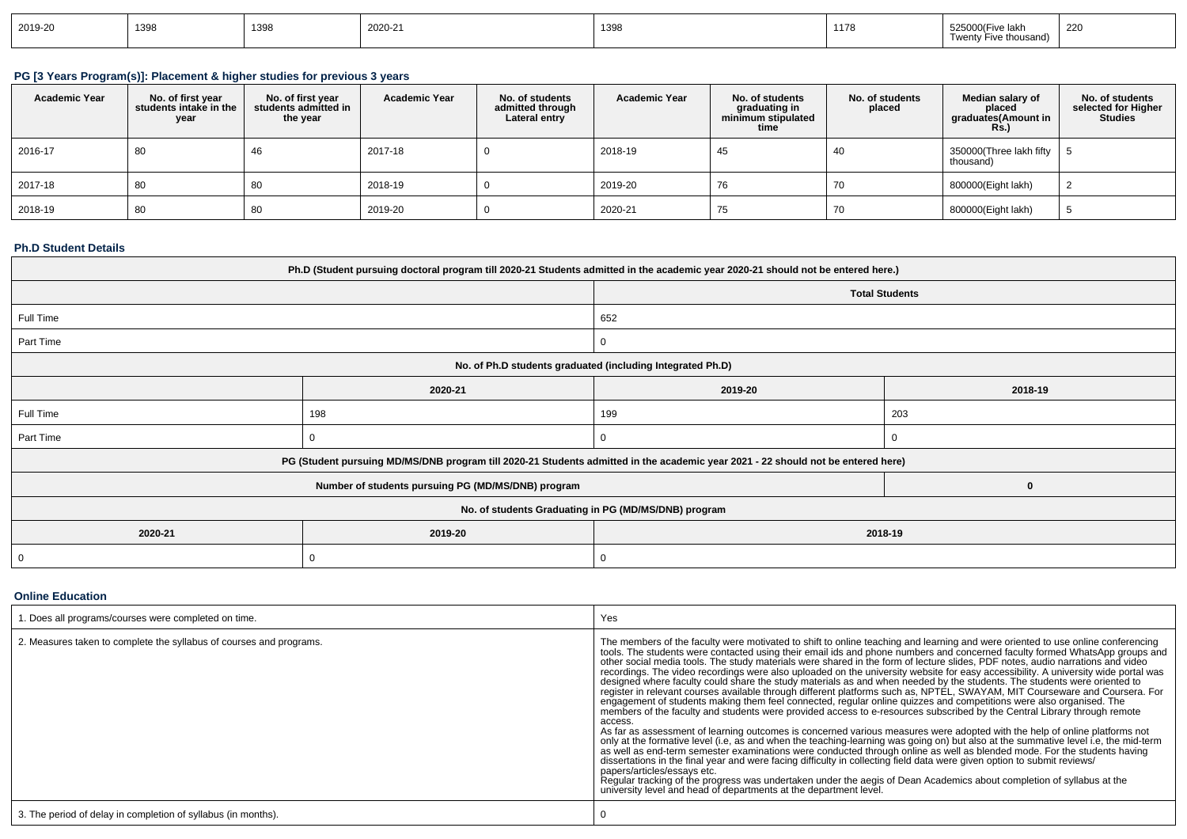| 2019-20 | 1398 | 1398 | 2020-21 | 1398 | 1178 | 525000(Fiv<br>Five lak!<br>e thousand)<br>$- - - - -$<br><b>INGIL</b><br>$\cdots$ $\mathbf{v}$ . $\cdots$ | 220 |
|---------|------|------|---------|------|------|-----------------------------------------------------------------------------------------------------------|-----|
|---------|------|------|---------|------|------|-----------------------------------------------------------------------------------------------------------|-----|

# **PG [3 Years Program(s)]: Placement & higher studies for previous 3 years**

| <b>Academic Year</b> | No. of first year<br>students intake in the<br>year | No. of first vear<br>students admitted in<br>the year | <b>Academic Year</b> | No. of students<br>admitted through<br>Lateral entry | <b>Academic Year</b> | No. of students<br>graduating in<br>minimum stipulated<br>time | No. of students<br>placed | Median salary of<br>placed<br>graduates (Amount in<br>Rs.) | No. of students<br>selected for Higher<br><b>Studies</b> |
|----------------------|-----------------------------------------------------|-------------------------------------------------------|----------------------|------------------------------------------------------|----------------------|----------------------------------------------------------------|---------------------------|------------------------------------------------------------|----------------------------------------------------------|
| 2016-17              | 80                                                  | 46                                                    | 2017-18              |                                                      | 2018-19              | 45                                                             | 40                        | $350000$ (Three lakh fifty   5<br>thousand)                |                                                          |
| 2017-18              | 80                                                  | 80                                                    | 2018-19              |                                                      | 2019-20              | 76                                                             | 70                        | 800000(Eight lakh)                                         |                                                          |
| 2018-19              | 80                                                  | 80                                                    | 2019-20              |                                                      | 2020-21              | 75                                                             | 70                        | 800000(Eight lakh)                                         |                                                          |

### **Ph.D Student Details**

|                | Ph.D (Student pursuing doctoral program till 2020-21 Students admitted in the academic year 2020-21 should not be entered here.) |                                                      |                       |  |  |  |  |
|----------------|----------------------------------------------------------------------------------------------------------------------------------|------------------------------------------------------|-----------------------|--|--|--|--|
|                |                                                                                                                                  |                                                      | <b>Total Students</b> |  |  |  |  |
| Full Time      |                                                                                                                                  | 652                                                  |                       |  |  |  |  |
| Part Time      |                                                                                                                                  | 0                                                    |                       |  |  |  |  |
|                | No. of Ph.D students graduated (including Integrated Ph.D)                                                                       |                                                      |                       |  |  |  |  |
|                | 2020-21                                                                                                                          | 2019-20                                              | 2018-19               |  |  |  |  |
| Full Time      | 198                                                                                                                              | 199                                                  | 203                   |  |  |  |  |
| Part Time      |                                                                                                                                  | 0                                                    | 0                     |  |  |  |  |
|                | PG (Student pursuing MD/MS/DNB program till 2020-21 Students admitted in the academic year 2021 - 22 should not be entered here) |                                                      |                       |  |  |  |  |
|                | Number of students pursuing PG (MD/MS/DNB) program                                                                               |                                                      | 0                     |  |  |  |  |
|                |                                                                                                                                  | No. of students Graduating in PG (MD/MS/DNB) program |                       |  |  |  |  |
| 2020-21        | 2019-20                                                                                                                          |                                                      | 2018-19               |  |  |  |  |
| $\overline{0}$ |                                                                                                                                  | 0                                                    |                       |  |  |  |  |

### **Online Education**

| . Does all programs/courses were completed on time.                 | Yes                                                                                                                                                                                                                                                                                                                                                                                                                                                                                                                                                                                                                                                                                                                                                                                                                                                                                                                                                                                                                                                                                                                                                                                                                                                                                                                                                                                                                                                                                                                                                                                                                                                                                                                                                                                                                       |
|---------------------------------------------------------------------|---------------------------------------------------------------------------------------------------------------------------------------------------------------------------------------------------------------------------------------------------------------------------------------------------------------------------------------------------------------------------------------------------------------------------------------------------------------------------------------------------------------------------------------------------------------------------------------------------------------------------------------------------------------------------------------------------------------------------------------------------------------------------------------------------------------------------------------------------------------------------------------------------------------------------------------------------------------------------------------------------------------------------------------------------------------------------------------------------------------------------------------------------------------------------------------------------------------------------------------------------------------------------------------------------------------------------------------------------------------------------------------------------------------------------------------------------------------------------------------------------------------------------------------------------------------------------------------------------------------------------------------------------------------------------------------------------------------------------------------------------------------------------------------------------------------------------|
| 2. Measures taken to complete the syllabus of courses and programs. | The members of the faculty were motivated to shift to online teaching and learning and were oriented to use online conferencing<br>tools. The students were contacted using their email ids and phone numbers and concerned faculty formed WhatsApp groups and<br>other social media tools. The study materials were shared in the form of lecture slides, PDF notes, audio narrations and video<br>recordings. The video recordings were also uploaded on the university website for easy accessibility. A university wide portal was<br>designed where faculty could share the study materials as and when needed by the students. The students were oriented to<br>register in relevant courses available through different platforms such as, NPTEL, SWAYAM, MIT Courseware and Coursera. For<br>engagement of students making them feel connected, regular online guizzes and competitions were also organised. The<br>members of the faculty and students were provided access to e-resources subscribed by the Central Library through remote<br>access.<br>As far as assessment of learning outcomes is concerned various measures were adopted with the help of online platforms not<br>only at the formative level (i.e, as and when the teaching-learning was going on) but also at the summative level i.e, the mid-term<br>as well as end-term semester examinations were conducted through online as well as blended mode. For the students having<br>dissertations in the final year and were facing difficulty in collecting field data were given option to submit reviews/<br>papers/articles/essays etc.<br>Regular tracking of the progress was undertaken under the aegis of Dean Academics about completion of syllabus at the<br>university level and head of departments at the department level. |
| 3. The period of delay in completion of syllabus (in months).       |                                                                                                                                                                                                                                                                                                                                                                                                                                                                                                                                                                                                                                                                                                                                                                                                                                                                                                                                                                                                                                                                                                                                                                                                                                                                                                                                                                                                                                                                                                                                                                                                                                                                                                                                                                                                                           |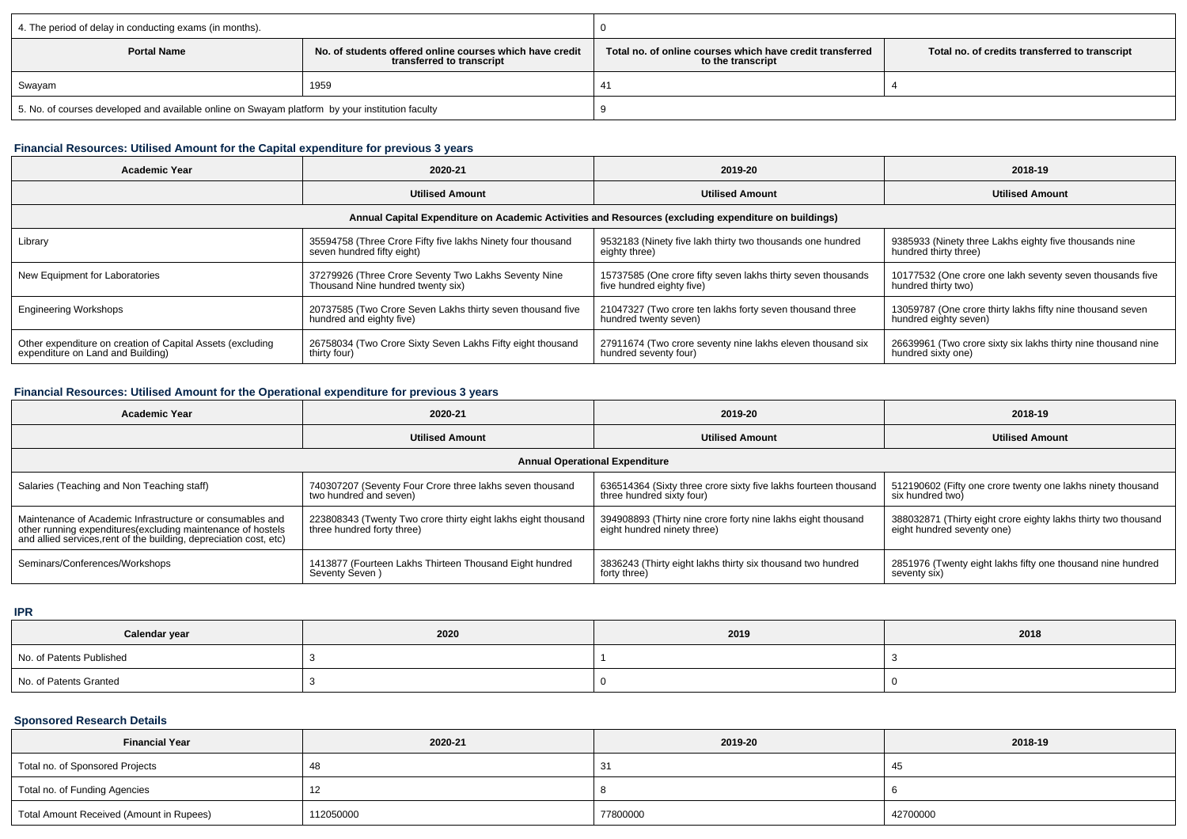| 4. The period of delay in conducting exams (in months).                                         |                                                                                       |                                                                                |                                                |  |  |
|-------------------------------------------------------------------------------------------------|---------------------------------------------------------------------------------------|--------------------------------------------------------------------------------|------------------------------------------------|--|--|
| <b>Portal Name</b>                                                                              | No, of students offered online courses which have credit<br>transferred to transcript | Total no. of online courses which have credit transferred<br>to the transcript | Total no. of credits transferred to transcript |  |  |
| Swayam                                                                                          | 1959                                                                                  |                                                                                |                                                |  |  |
| 5. No. of courses developed and available online on Swayam platform by your institution faculty |                                                                                       |                                                                                |                                                |  |  |

## **Financial Resources: Utilised Amount for the Capital expenditure for previous 3 years**

| <b>Academic Year</b>                                                                                 | 2020-21<br>2019-20                                                                                                                                                                     |                                                                                     | 2018-19                                                                             |  |  |  |
|------------------------------------------------------------------------------------------------------|----------------------------------------------------------------------------------------------------------------------------------------------------------------------------------------|-------------------------------------------------------------------------------------|-------------------------------------------------------------------------------------|--|--|--|
|                                                                                                      | <b>Utilised Amount</b>                                                                                                                                                                 | <b>Utilised Amount</b>                                                              | <b>Utilised Amount</b>                                                              |  |  |  |
| Annual Capital Expenditure on Academic Activities and Resources (excluding expenditure on buildings) |                                                                                                                                                                                        |                                                                                     |                                                                                     |  |  |  |
| Library                                                                                              | 9532183 (Ninety five lakh thirty two thousands one hundred<br>35594758 (Three Crore Fifty five lakhs Ninety four thousand<br>seven hundred fifty eight)<br>eighty three)               |                                                                                     | 9385933 (Ninety three Lakhs eighty five thousands nine<br>hundred thirty three)     |  |  |  |
| New Equipment for Laboratories                                                                       | 37279926 (Three Crore Seventy Two Lakhs Seventy Nine<br>15737585 (One crore fifty seven lakhs thirty seven thousands<br>Thousand Nine hundred twenty six)<br>five hundred eighty five) |                                                                                     | 10177532 (One crore one lakh seventy seven thousands five<br>hundred thirty two)    |  |  |  |
| <b>Engineering Workshops</b>                                                                         | 20737585 (Two Crore Seven Lakhs thirty seven thousand five<br>hundred and eighty five)                                                                                                 | 21047327 (Two crore ten lakhs forty seven thousand three<br>hundred twenty seven)   | 13059787 (One crore thirty lakhs fifty nine thousand seven<br>hundred eighty seven) |  |  |  |
| Other expenditure on creation of Capital Assets (excluding<br>expenditure on Land and Building)      | 26758034 (Two Crore Sixty Seven Lakhs Fifty eight thousand<br>thirty four)                                                                                                             | 27911674 (Two crore seventy nine lakhs eleven thousand six<br>hundred seventy four) | 26639961 (Two crore sixty six lakhs thirty nine thousand nine<br>hundred sixty one) |  |  |  |

# **Financial Resources: Utilised Amount for the Operational expenditure for previous 3 years**

| <b>Academic Year</b>                                                                                                                                                                                                                                                                           | 2020-21                                                                            | 2018-19                                                                                      |                                                                                              |  |  |  |
|------------------------------------------------------------------------------------------------------------------------------------------------------------------------------------------------------------------------------------------------------------------------------------------------|------------------------------------------------------------------------------------|----------------------------------------------------------------------------------------------|----------------------------------------------------------------------------------------------|--|--|--|
|                                                                                                                                                                                                                                                                                                | <b>Utilised Amount</b>                                                             | <b>Utilised Amount</b>                                                                       |                                                                                              |  |  |  |
| <b>Annual Operational Expenditure</b>                                                                                                                                                                                                                                                          |                                                                                    |                                                                                              |                                                                                              |  |  |  |
| Salaries (Teaching and Non Teaching staff)                                                                                                                                                                                                                                                     | 740307207 (Seventy Four Crore three lakhs seven thousand<br>two hundred and seven) | 636514364 (Sixty three crore sixty five lakhs fourteen thousand<br>three hundred sixty four) | 512190602 (Fifty one crore twenty one lakhs ninety thousand<br>six hundred two)              |  |  |  |
| Maintenance of Academic Infrastructure or consumables and<br>223808343 (Twenty Two crore thirty eight lakhs eight thousand<br>three hundred forty three)<br>other running expenditures (excluding maintenance of hostels<br>and allied services, rent of the building, depreciation cost, etc) |                                                                                    | 394908893 (Thirty nine crore forty nine lakhs eight thousand<br>eight hundred ninety three)  | 388032871 (Thirty eight crore eighty lakhs thirty two thousand<br>eight hundred seventy one) |  |  |  |
| Seminars/Conferences/Workshops                                                                                                                                                                                                                                                                 | 1413877 (Fourteen Lakhs Thirteen Thousand Eight hundred<br>Seventy Seven)          | 3836243 (Thirty eight lakhs thirty six thousand two hundred<br>forty three)                  | 2851976 (Twenty eight lakhs fifty one thousand nine hundred<br>seventy six)                  |  |  |  |

**IPR**

| Calendar year            | 2020 | 2019 | 2018 |  |
|--------------------------|------|------|------|--|
| No. of Patents Published |      |      |      |  |
| No. of Patents Granted   |      |      |      |  |

## **Sponsored Research Details**

| <b>Financial Year</b>                    | 2020-21   | 2019-20  | 2018-19  |
|------------------------------------------|-----------|----------|----------|
| Total no. of Sponsored Projects          |           |          |          |
| Total no. of Funding Agencies            | -14       |          |          |
| Total Amount Received (Amount in Rupees) | 112050000 | 77800000 | 42700000 |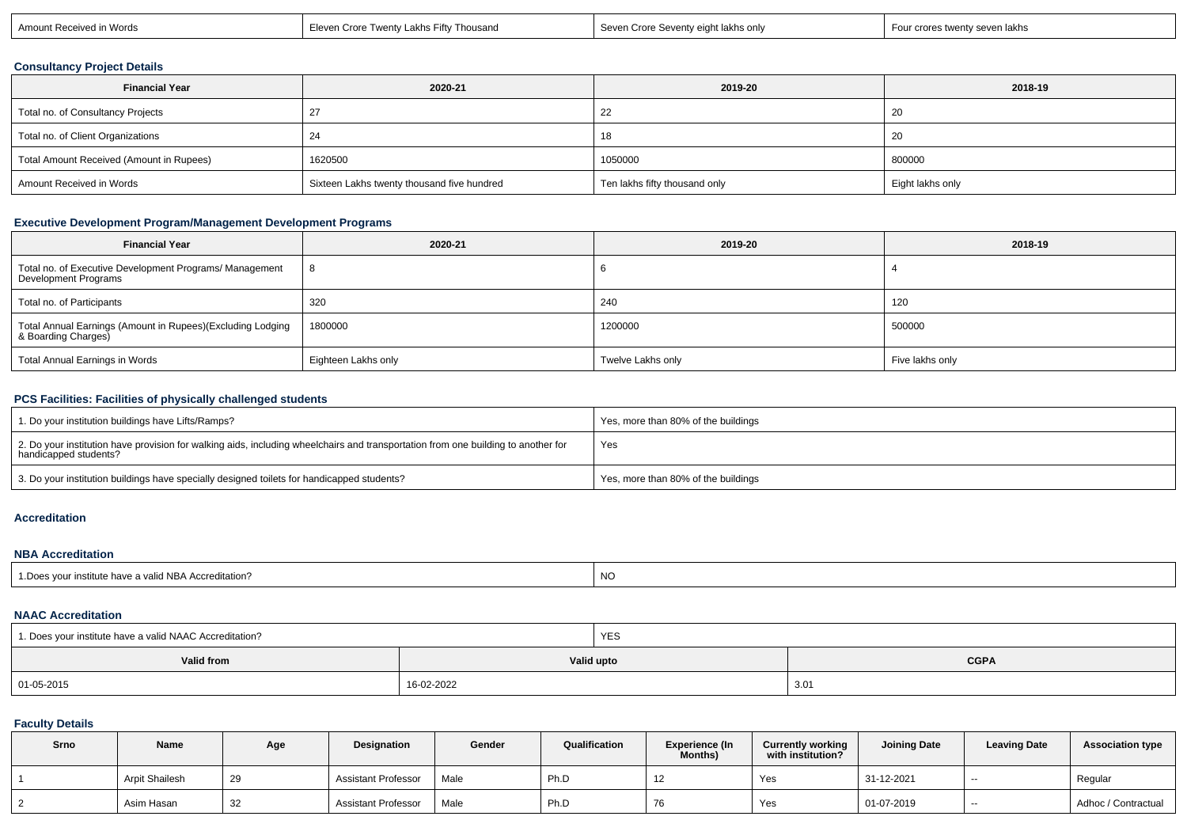| stwenty seven lakhs<br>∣ Words<br>Amount Received <sub>I</sub><br>Thousand<br>Seven<br>ht lakhs only<br>Four crores<br>…rv I akhs F⊺<br>$\sim$ $\sim$ $\sim$<br>$\cdots$<br>. Seventv e i<br>Seven Crore Se<br>e Iwen<br>Eleven Crore |  |  |  |  |
|---------------------------------------------------------------------------------------------------------------------------------------------------------------------------------------------------------------------------------------|--|--|--|--|
|---------------------------------------------------------------------------------------------------------------------------------------------------------------------------------------------------------------------------------------|--|--|--|--|

## **Consultancy Project Details**

| <b>Financial Year</b>                    | 2020-21                                    | 2019-20                       | 2018-19          |  |
|------------------------------------------|--------------------------------------------|-------------------------------|------------------|--|
| Total no. of Consultancy Projects        |                                            | 22                            | -20              |  |
| Total no. of Client Organizations        | 24                                         |                               | -20              |  |
| Total Amount Received (Amount in Rupees) | 1620500                                    | 1050000                       | 800000           |  |
| Amount Received in Words                 | Sixteen Lakhs twenty thousand five hundred | Ten lakhs fifty thousand only | Eight lakhs only |  |

## **Executive Development Program/Management Development Programs**

| <b>Financial Year</b>                                                             | 2020-21             | 2019-20           | 2018-19         |  |
|-----------------------------------------------------------------------------------|---------------------|-------------------|-----------------|--|
| Total no. of Executive Development Programs/ Management<br>Development Programs   |                     |                   |                 |  |
| Total no. of Participants                                                         | 320                 | 240               | 120             |  |
| Total Annual Earnings (Amount in Rupees)(Excluding Lodging<br>& Boarding Charges) | 1800000             | 1200000           | 500000          |  |
| Total Annual Earnings in Words                                                    | Eighteen Lakhs only | Twelve Lakhs only | Five lakhs only |  |

## **PCS Facilities: Facilities of physically challenged students**

| 1. Do your institution buildings have Lifts/Ramps?                                                                                                         | Yes, more than 80% of the buildings |
|------------------------------------------------------------------------------------------------------------------------------------------------------------|-------------------------------------|
| 2. Do your institution have provision for walking aids, including wheelchairs and transportation from one building to another for<br>handicapped students? | Yes                                 |
| 3. Do your institution buildings have specially designed toilets for handicapped students?                                                                 | Yes, more than 80% of the buildings |

#### **Accreditation**

#### **NBA Accreditation**

| 1. Does your institute have a valid NBA Accreditation? | <b>NC</b> |
|--------------------------------------------------------|-----------|
|                                                        |           |

### **NAAC Accreditation**

| 1. Does your institute have a valid NAAC Accreditation? |            | YES |             |
|---------------------------------------------------------|------------|-----|-------------|
| Valid from                                              | Valid upto |     | <b>CGPA</b> |
| 01-05-2015                                              | 16-02-2022 |     | 3.01        |

### **Faculty Details**

| Srno | Name           | Age | Designation                | Gender | Qualification | <b>Experience (In</b><br>Months) | <b>Currently working</b><br>with institution? | <b>Joining Date</b> | <b>Leaving Date</b> | Association type    |
|------|----------------|-----|----------------------------|--------|---------------|----------------------------------|-----------------------------------------------|---------------------|---------------------|---------------------|
|      | Arpit Shailesh | 29  | <b>Assistant Professor</b> | Male   | Ph.D          | 12                               | Yes                                           | 31-12-2021          | $-$                 | Regular             |
|      | Asim Hasan     | 32  | <b>Assistant Professor</b> | Male   | Ph.D          | 76                               | Yes                                           | 01-07-2019          | $- -$               | Adhoc / Contractual |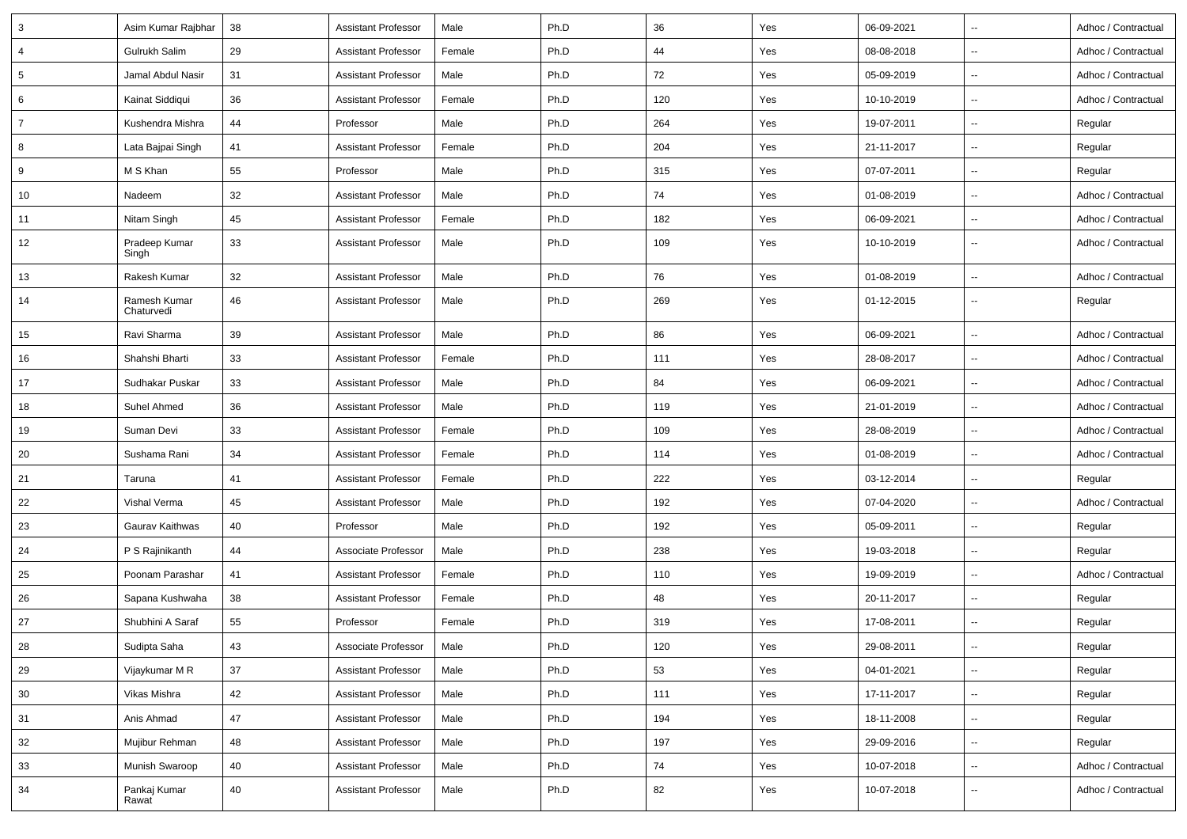| 3              | Asim Kumar Rajbhar         | 38 | <b>Assistant Professor</b> | Male   | Ph.D | 36  | Yes | 06-09-2021 | $\ddotsc$                | Adhoc / Contractual |
|----------------|----------------------------|----|----------------------------|--------|------|-----|-----|------------|--------------------------|---------------------|
| $\overline{4}$ | Gulrukh Salim              | 29 | <b>Assistant Professor</b> | Female | Ph.D | 44  | Yes | 08-08-2018 | $\sim$                   | Adhoc / Contractual |
| 5              | Jamal Abdul Nasir          | 31 | <b>Assistant Professor</b> | Male   | Ph.D | 72  | Yes | 05-09-2019 | $\sim$                   | Adhoc / Contractual |
| 6              | Kainat Siddiqui            | 36 | <b>Assistant Professor</b> | Female | Ph.D | 120 | Yes | 10-10-2019 | $\sim$                   | Adhoc / Contractual |
| 7              | Kushendra Mishra           | 44 | Professor                  | Male   | Ph.D | 264 | Yes | 19-07-2011 | $\sim$                   | Regular             |
| 8              | Lata Bajpai Singh          | 41 | Assistant Professor        | Female | Ph.D | 204 | Yes | 21-11-2017 | $\sim$                   | Regular             |
| 9              | M S Khan                   | 55 | Professor                  | Male   | Ph.D | 315 | Yes | 07-07-2011 | $\sim$                   | Regular             |
| 10             | Nadeem                     | 32 | <b>Assistant Professor</b> | Male   | Ph.D | 74  | Yes | 01-08-2019 | $\sim$                   | Adhoc / Contractual |
| 11             | Nitam Singh                | 45 | Assistant Professor        | Female | Ph.D | 182 | Yes | 06-09-2021 | $\sim$                   | Adhoc / Contractual |
| 12             | Pradeep Kumar<br>Singh     | 33 | <b>Assistant Professor</b> | Male   | Ph.D | 109 | Yes | 10-10-2019 | $\sim$                   | Adhoc / Contractual |
| 13             | Rakesh Kumar               | 32 | Assistant Professor        | Male   | Ph.D | 76  | Yes | 01-08-2019 | $\sim$                   | Adhoc / Contractual |
| 14             | Ramesh Kumar<br>Chaturvedi | 46 | <b>Assistant Professor</b> | Male   | Ph.D | 269 | Yes | 01-12-2015 | $\sim$                   | Regular             |
| 15             | Ravi Sharma                | 39 | <b>Assistant Professor</b> | Male   | Ph.D | 86  | Yes | 06-09-2021 | $\sim$                   | Adhoc / Contractual |
| 16             | Shahshi Bharti             | 33 | <b>Assistant Professor</b> | Female | Ph.D | 111 | Yes | 28-08-2017 | $\sim$                   | Adhoc / Contractual |
| 17             | Sudhakar Puskar            | 33 | <b>Assistant Professor</b> | Male   | Ph.D | 84  | Yes | 06-09-2021 | $\sim$                   | Adhoc / Contractual |
| 18             | Suhel Ahmed                | 36 | <b>Assistant Professor</b> | Male   | Ph.D | 119 | Yes | 21-01-2019 | $\sim$                   | Adhoc / Contractual |
| 19             | Suman Devi                 | 33 | Assistant Professor        | Female | Ph.D | 109 | Yes | 28-08-2019 | $\sim$                   | Adhoc / Contractual |
| 20             | Sushama Rani               | 34 | Assistant Professor        | Female | Ph.D | 114 | Yes | 01-08-2019 | $\mathbf{u}$             | Adhoc / Contractual |
| 21             | Taruna                     | 41 | <b>Assistant Professor</b> | Female | Ph.D | 222 | Yes | 03-12-2014 | $\sim$                   | Regular             |
| 22             | Vishal Verma               | 45 | <b>Assistant Professor</b> | Male   | Ph.D | 192 | Yes | 07-04-2020 | $\sim$                   | Adhoc / Contractual |
| 23             | Gaurav Kaithwas            | 40 | Professor                  | Male   | Ph.D | 192 | Yes | 05-09-2011 | $\sim$                   | Regular             |
| 24             | P S Rajinikanth            | 44 | Associate Professor        | Male   | Ph.D | 238 | Yes | 19-03-2018 | $\sim$                   | Regular             |
| 25             | Poonam Parashar            | 41 | Assistant Professor        | Female | Ph.D | 110 | Yes | 19-09-2019 | $\sim$                   | Adhoc / Contractual |
| 26             | Sapana Kushwaha            | 38 | <b>Assistant Professor</b> | Female | Ph.D | 48  | Yes | 20-11-2017 | $\sim$                   | Regular             |
| 27             | Shubhini A Saraf           | 55 | Professor                  | Female | Ph.D | 319 | Yes | 17-08-2011 | $\sim$                   | Regular             |
| 28             | Sudipta Saha               | 43 | Associate Professor        | Male   | Ph.D | 120 | Yes | 29-08-2011 |                          | Regular             |
| 29             | Vijaykumar M R             | 37 | <b>Assistant Professor</b> | Male   | Ph.D | 53  | Yes | 04-01-2021 | $\overline{\phantom{a}}$ | Regular             |
| 30             | Vikas Mishra               | 42 | <b>Assistant Professor</b> | Male   | Ph.D | 111 | Yes | 17-11-2017 | $\sim$                   | Regular             |
| 31             | Anis Ahmad                 | 47 | <b>Assistant Professor</b> | Male   | Ph.D | 194 | Yes | 18-11-2008 | $\sim$                   | Regular             |
| 32             | Mujibur Rehman             | 48 | <b>Assistant Professor</b> | Male   | Ph.D | 197 | Yes | 29-09-2016 | $\overline{\phantom{a}}$ | Regular             |
| 33             | Munish Swaroop             | 40 | <b>Assistant Professor</b> | Male   | Ph.D | 74  | Yes | 10-07-2018 | $\sim$                   | Adhoc / Contractual |
| 34             | Pankaj Kumar<br>Rawat      | 40 | <b>Assistant Professor</b> | Male   | Ph.D | 82  | Yes | 10-07-2018 | $\sim$                   | Adhoc / Contractual |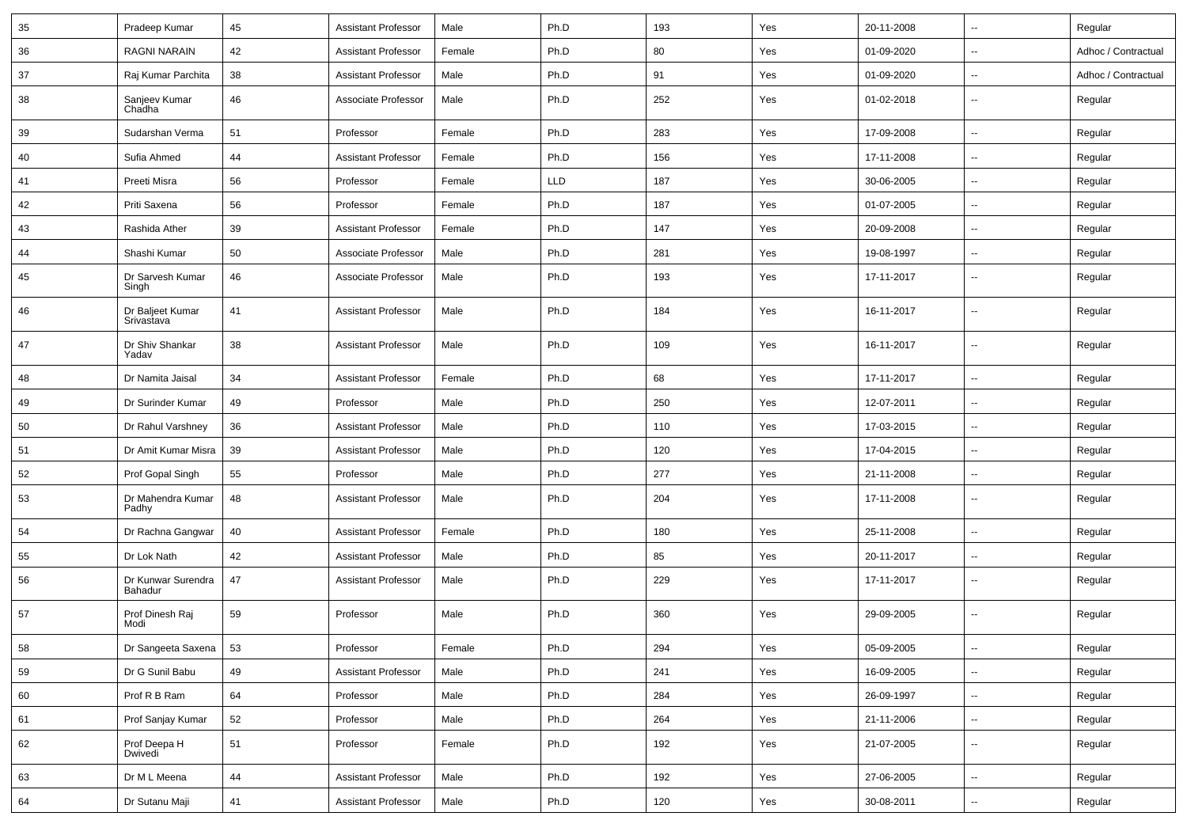| 35 | Pradeep Kumar                  | 45 | <b>Assistant Professor</b> | Male   | Ph.D       | 193 | Yes                           | 20-11-2008 | $\overline{\phantom{a}}$ | Regular             |
|----|--------------------------------|----|----------------------------|--------|------------|-----|-------------------------------|------------|--------------------------|---------------------|
| 36 | <b>RAGNI NARAIN</b>            | 42 | <b>Assistant Professor</b> | Female | Ph.D       | 80  | Yes                           | 01-09-2020 | $\overline{\phantom{a}}$ | Adhoc / Contractual |
| 37 | Raj Kumar Parchita             | 38 | <b>Assistant Professor</b> | Male   | Ph.D       | 91  | Yes                           | 01-09-2020 | $\overline{\phantom{a}}$ | Adhoc / Contractual |
| 38 | Sanjeev Kumar<br>Chadha        | 46 | Associate Professor        | Male   | Ph.D       | 252 | Yes                           | 01-02-2018 | $\overline{\phantom{a}}$ | Regular             |
| 39 | Sudarshan Verma                | 51 | Professor                  | Female | Ph.D       | 283 | Yes                           | 17-09-2008 | $\overline{\phantom{a}}$ | Regular             |
| 40 | Sufia Ahmed                    | 44 | <b>Assistant Professor</b> | Female | Ph.D       | 156 | Yes                           | 17-11-2008 | $\overline{\phantom{a}}$ | Regular             |
| 41 | Preeti Misra                   | 56 | Professor                  | Female | <b>LLD</b> | 187 | Yes                           | 30-06-2005 | Ξ.                       | Regular             |
| 42 | Priti Saxena                   | 56 | Professor                  | Female | Ph.D       | 187 | Yes                           | 01-07-2005 | $\overline{\phantom{a}}$ | Regular             |
| 43 | Rashida Ather                  | 39 | <b>Assistant Professor</b> | Female | Ph.D       | 147 | Yes                           | 20-09-2008 | $\overline{\phantom{a}}$ | Regular             |
| 44 | Shashi Kumar                   | 50 | Associate Professor        | Male   | Ph.D       | 281 | Yes                           | 19-08-1997 | $\overline{\phantom{a}}$ | Regular             |
| 45 | Dr Sarvesh Kumar<br>Singh      | 46 | Associate Professor        | Male   | Ph.D       | 193 | Yes                           | 17-11-2017 | $\overline{\phantom{a}}$ | Regular             |
| 46 | Dr Baljeet Kumar<br>Srivastava | 41 | <b>Assistant Professor</b> | Male   | Ph.D       | 184 | Yes                           | 16-11-2017 | --                       | Regular             |
| 47 | Dr Shiv Shankar<br>Yadav       | 38 | <b>Assistant Professor</b> | Male   | Ph.D       | 109 | Yes                           | 16-11-2017 | $\overline{\phantom{a}}$ | Regular             |
| 48 | Dr Namita Jaisal               | 34 | <b>Assistant Professor</b> | Female | Ph.D       | 68  | Yes                           | 17-11-2017 | $\overline{\phantom{a}}$ | Regular             |
| 49 | Dr Surinder Kumar              | 49 | Professor                  | Male   | Ph.D       | 250 | Yes                           | 12-07-2011 | $\overline{\phantom{a}}$ | Regular             |
| 50 | Dr Rahul Varshney              | 36 | <b>Assistant Professor</b> | Male   | Ph.D       | 110 | Yes                           | 17-03-2015 | Ξ.                       | Regular             |
| 51 | Dr Amit Kumar Misra            | 39 | <b>Assistant Professor</b> | Male   | Ph.D       | 120 | Yes                           | 17-04-2015 | --                       | Regular             |
| 52 | Prof Gopal Singh               | 55 | Professor                  | Male   | Ph.D       | 277 | Yes                           | 21-11-2008 | $\overline{\phantom{a}}$ | Regular             |
| 53 | Dr Mahendra Kumar<br>Padhy     | 48 | <b>Assistant Professor</b> | Male   | Ph.D       | 204 | Yes                           | 17-11-2008 | $\overline{\phantom{a}}$ | Regular             |
| 54 | Dr Rachna Gangwar              | 40 | <b>Assistant Professor</b> | Female | Ph.D       | 180 | Yes                           | 25-11-2008 | $\mathbf{u}$             | Regular             |
| 55 | Dr Lok Nath                    | 42 | <b>Assistant Professor</b> | Male   | Ph.D       | 85  | Yes                           | 20-11-2017 | $\overline{\phantom{a}}$ | Regular             |
| 56 | Dr Kunwar Surendra<br>Bahadur  | 47 | <b>Assistant Professor</b> | Male   | Ph.D       | 229 | Yes                           | 17-11-2017 | $\overline{\phantom{a}}$ | Regular             |
| 57 | Prof Dinesh Raj<br>Modi        | 59 | Professor                  | Male   | Ph.D       | 360 | Yes                           | 29-09-2005 | $\overline{\phantom{a}}$ | Regular             |
| 58 | Dr Sangeeta Saxena             | 53 | Professor                  | Female | Ph.D       | 294 | $\operatorname{\mathsf{Yes}}$ | 05-09-2005 |                          | Regular             |
| 59 | Dr G Sunil Babu                | 49 | <b>Assistant Professor</b> | Male   | Ph.D       | 241 | Yes                           | 16-09-2005 | $\overline{\phantom{a}}$ | Regular             |
| 60 | Prof R B Ram                   | 64 | Professor                  | Male   | Ph.D       | 284 | Yes                           | 26-09-1997 | $\overline{\phantom{a}}$ | Regular             |
| 61 | Prof Sanjay Kumar              | 52 | Professor                  | Male   | Ph.D       | 264 | Yes                           | 21-11-2006 | н.                       | Regular             |
| 62 | Prof Deepa H<br>Dwivedi        | 51 | Professor                  | Female | Ph.D       | 192 | Yes                           | 21-07-2005 | Ξ.                       | Regular             |
| 63 | Dr M L Meena                   | 44 | <b>Assistant Professor</b> | Male   | Ph.D       | 192 | Yes                           | 27-06-2005 | ÷.                       | Regular             |
| 64 | Dr Sutanu Maji                 | 41 | <b>Assistant Professor</b> | Male   | Ph.D       | 120 | Yes                           | 30-08-2011 | ₩,                       | Regular             |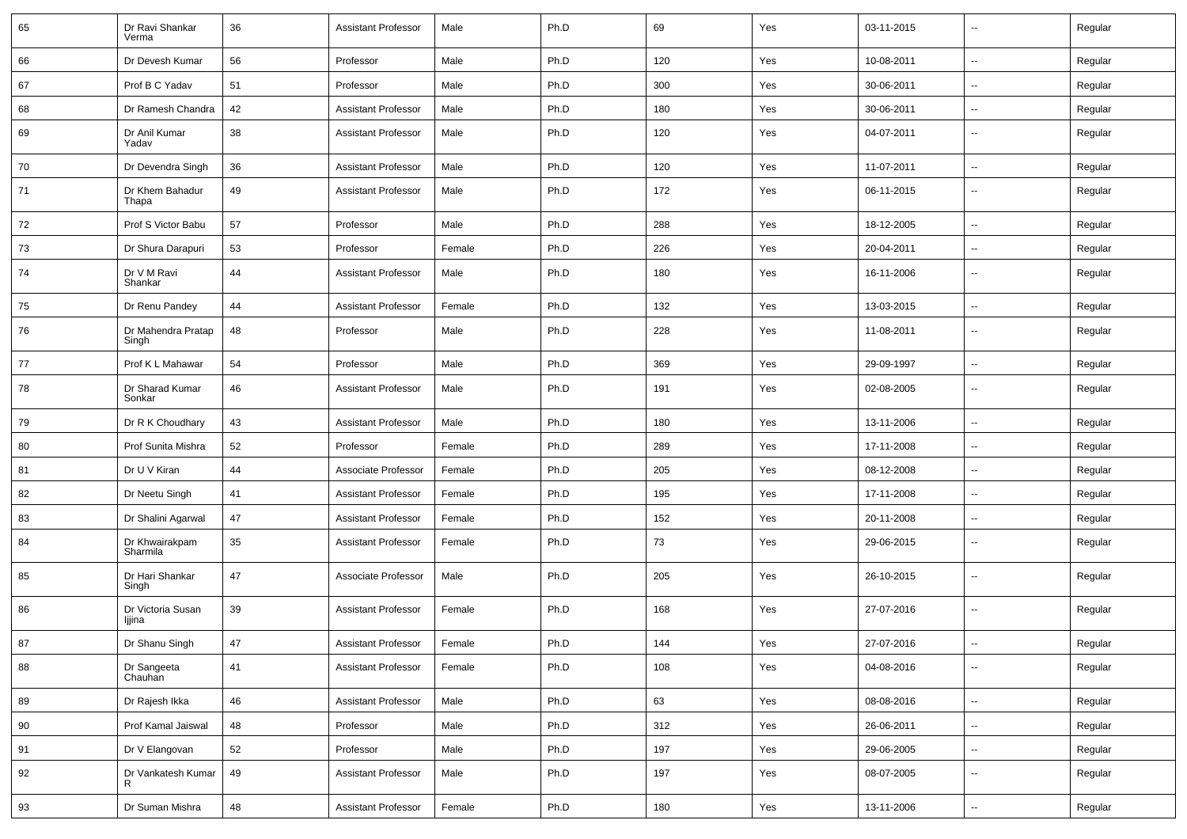| 65 | Dr Ravi Shankar<br>Verma    | 36 | <b>Assistant Professor</b> | Male   | Ph.D | 69  | Yes | 03-11-2015 | $\sim$                   | Regular |
|----|-----------------------------|----|----------------------------|--------|------|-----|-----|------------|--------------------------|---------|
| 66 | Dr Devesh Kumar             | 56 | Professor                  | Male   | Ph.D | 120 | Yes | 10-08-2011 | $\sim$                   | Regular |
| 67 | Prof B C Yadav              | 51 | Professor                  | Male   | Ph.D | 300 | Yes | 30-06-2011 | $\overline{\phantom{a}}$ | Regular |
| 68 | Dr Ramesh Chandra           | 42 | <b>Assistant Professor</b> | Male   | Ph.D | 180 | Yes | 30-06-2011 | $\sim$                   | Regular |
| 69 | Dr Anil Kumar<br>Yadav      | 38 | <b>Assistant Professor</b> | Male   | Ph.D | 120 | Yes | 04-07-2011 | --                       | Regular |
| 70 | Dr Devendra Singh           | 36 | <b>Assistant Professor</b> | Male   | Ph.D | 120 | Yes | 11-07-2011 | $\overline{\phantom{a}}$ | Regular |
| 71 | Dr Khem Bahadur<br>Thapa    | 49 | <b>Assistant Professor</b> | Male   | Ph.D | 172 | Yes | 06-11-2015 | $\overline{\phantom{a}}$ | Regular |
| 72 | Prof S Victor Babu          | 57 | Professor                  | Male   | Ph.D | 288 | Yes | 18-12-2005 | $\overline{\phantom{a}}$ | Regular |
| 73 | Dr Shura Darapuri           | 53 | Professor                  | Female | Ph.D | 226 | Yes | 20-04-2011 | $\sim$                   | Regular |
| 74 | Dr V M Ravi<br>Shankar      | 44 | <b>Assistant Professor</b> | Male   | Ph.D | 180 | Yes | 16-11-2006 | $\sim$                   | Regular |
| 75 | Dr Renu Pandey              | 44 | <b>Assistant Professor</b> | Female | Ph.D | 132 | Yes | 13-03-2015 | ÷.                       | Regular |
| 76 | Dr Mahendra Pratap<br>Singh | 48 | Professor                  | Male   | Ph.D | 228 | Yes | 11-08-2011 | $\sim$                   | Regular |
| 77 | Prof K L Mahawar            | 54 | Professor                  | Male   | Ph.D | 369 | Yes | 29-09-1997 | $\overline{\phantom{a}}$ | Regular |
| 78 | Dr Sharad Kumar<br>Sonkar   | 46 | <b>Assistant Professor</b> | Male   | Ph.D | 191 | Yes | 02-08-2005 | $\overline{\phantom{a}}$ | Regular |
| 79 | Dr R K Choudhary            | 43 | <b>Assistant Professor</b> | Male   | Ph.D | 180 | Yes | 13-11-2006 | $\overline{\phantom{a}}$ | Regular |
| 80 | Prof Sunita Mishra          | 52 | Professor                  | Female | Ph.D | 289 | Yes | 17-11-2008 | $\overline{\phantom{a}}$ | Regular |
| 81 | Dr U V Kiran                | 44 | Associate Professor        | Female | Ph.D | 205 | Yes | 08-12-2008 | --                       | Regular |
| 82 | Dr Neetu Singh              | 41 | <b>Assistant Professor</b> | Female | Ph.D | 195 | Yes | 17-11-2008 | $\overline{a}$           | Regular |
| 83 | Dr Shalini Agarwal          | 47 | <b>Assistant Professor</b> | Female | Ph.D | 152 | Yes | 20-11-2008 | $\sim$                   | Regular |
| 84 | Dr Khwairakpam<br>Sharmila  | 35 | <b>Assistant Professor</b> | Female | Ph.D | 73  | Yes | 29-06-2015 | $\sim$                   | Regular |
| 85 | Dr Hari Shankar<br>Singh    | 47 | Associate Professor        | Male   | Ph.D | 205 | Yes | 26-10-2015 | $\overline{\phantom{a}}$ | Regular |
| 86 | Dr Victoria Susan<br>ljjina | 39 | <b>Assistant Professor</b> | Female | Ph.D | 168 | Yes | 27-07-2016 | $\sim$                   | Regular |
| 87 | Dr Shanu Singh              | 47 | <b>Assistant Professor</b> | Female | Ph.D | 144 | Yes | 27-07-2016 | $\overline{\phantom{a}}$ | Regular |
| 88 | Dr Sangeeta<br>Chauhan      | 41 | <b>Assistant Professor</b> | Female | Ph.D | 108 | Yes | 04-08-2016 | Щ,                       | Regular |
| 89 | Dr Rajesh Ikka              | 46 | Assistant Professor        | Male   | Ph.D | 63  | Yes | 08-08-2016 | $\sim$                   | Regular |
| 90 | Prof Kamal Jaiswal          | 48 | Professor                  | Male   | Ph.D | 312 | Yes | 26-06-2011 | Ξ.                       | Regular |
| 91 | Dr V Elangovan              | 52 | Professor                  | Male   | Ph.D | 197 | Yes | 29-06-2005 | $\sim$                   | Regular |
| 92 | Dr Vankatesh Kumar<br>R     | 49 | <b>Assistant Professor</b> | Male   | Ph.D | 197 | Yes | 08-07-2005 | $\sim$                   | Regular |
| 93 | Dr Suman Mishra             | 48 | <b>Assistant Professor</b> | Female | Ph.D | 180 | Yes | 13-11-2006 | $\sim$                   | Regular |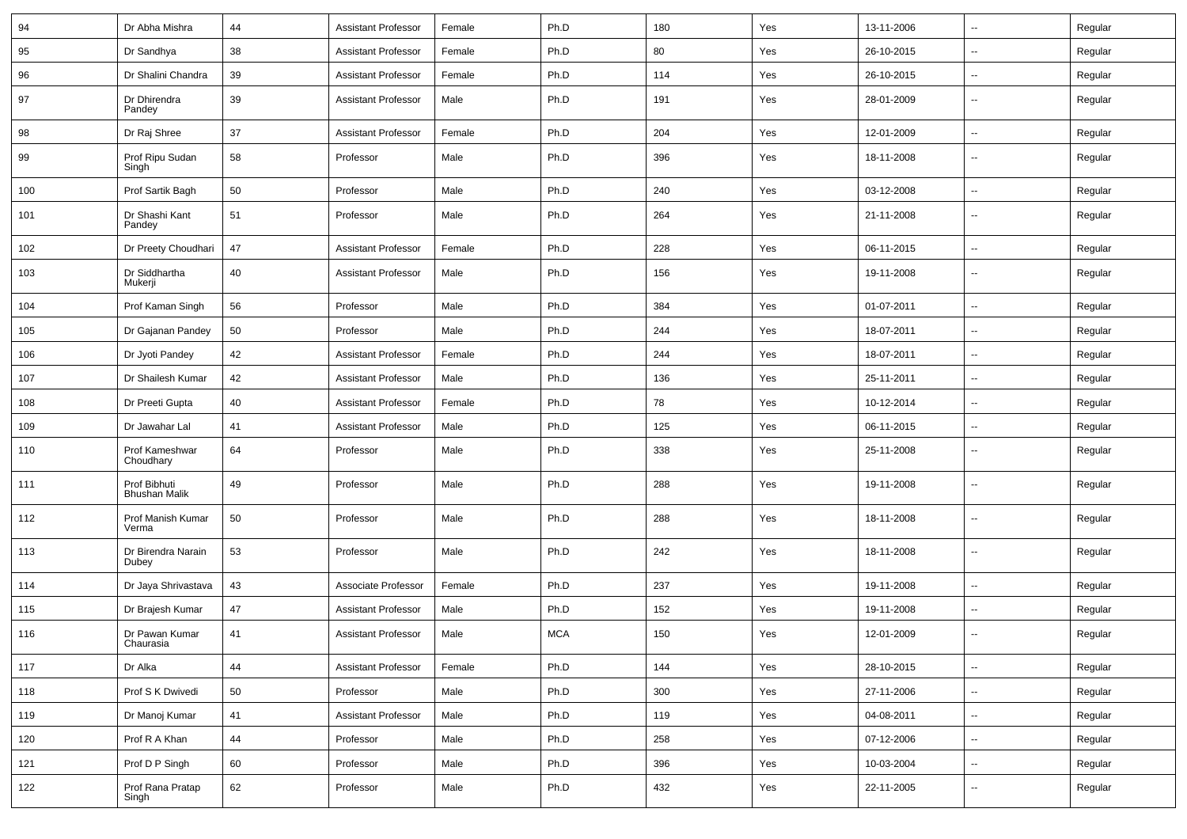| 94  | Dr Abha Mishra                       | 44 | <b>Assistant Professor</b> | Female | Ph.D       | 180 | Yes | 13-11-2006 | $\sim$                   | Regular |
|-----|--------------------------------------|----|----------------------------|--------|------------|-----|-----|------------|--------------------------|---------|
| 95  | Dr Sandhya                           | 38 | <b>Assistant Professor</b> | Female | Ph.D       | 80  | Yes | 26-10-2015 | $\overline{\phantom{a}}$ | Regular |
| 96  | Dr Shalini Chandra                   | 39 | <b>Assistant Professor</b> | Female | Ph.D       | 114 | Yes | 26-10-2015 | $\overline{\phantom{a}}$ | Regular |
| 97  | Dr Dhirendra<br>Pandey               | 39 | <b>Assistant Professor</b> | Male   | Ph.D       | 191 | Yes | 28-01-2009 | $\overline{\phantom{a}}$ | Regular |
| 98  | Dr Raj Shree                         | 37 | <b>Assistant Professor</b> | Female | Ph.D       | 204 | Yes | 12-01-2009 | $\sim$                   | Regular |
| 99  | Prof Ripu Sudan<br>Singh             | 58 | Professor                  | Male   | Ph.D       | 396 | Yes | 18-11-2008 | $\overline{\phantom{a}}$ | Regular |
| 100 | Prof Sartik Bagh                     | 50 | Professor                  | Male   | Ph.D       | 240 | Yes | 03-12-2008 | $\overline{\phantom{a}}$ | Regular |
| 101 | Dr Shashi Kant<br>Pandey             | 51 | Professor                  | Male   | Ph.D       | 264 | Yes | 21-11-2008 | $\sim$                   | Regular |
| 102 | Dr Preety Choudhari                  | 47 | <b>Assistant Professor</b> | Female | Ph.D       | 228 | Yes | 06-11-2015 | $\sim$                   | Regular |
| 103 | Dr Siddhartha<br>Mukerji             | 40 | <b>Assistant Professor</b> | Male   | Ph.D       | 156 | Yes | 19-11-2008 | $\sim$                   | Regular |
| 104 | Prof Kaman Singh                     | 56 | Professor                  | Male   | Ph.D       | 384 | Yes | 01-07-2011 | $\sim$                   | Regular |
| 105 | Dr Gajanan Pandey                    | 50 | Professor                  | Male   | Ph.D       | 244 | Yes | 18-07-2011 | $\overline{\phantom{a}}$ | Regular |
| 106 | Dr Jyoti Pandey                      | 42 | <b>Assistant Professor</b> | Female | Ph.D       | 244 | Yes | 18-07-2011 | $\overline{\phantom{a}}$ | Regular |
| 107 | Dr Shailesh Kumar                    | 42 | <b>Assistant Professor</b> | Male   | Ph.D       | 136 | Yes | 25-11-2011 | $\overline{\phantom{a}}$ | Regular |
| 108 | Dr Preeti Gupta                      | 40 | <b>Assistant Professor</b> | Female | Ph.D       | 78  | Yes | 10-12-2014 | $\overline{\phantom{a}}$ | Regular |
| 109 | Dr Jawahar Lal                       | 41 | <b>Assistant Professor</b> | Male   | Ph.D       | 125 | Yes | 06-11-2015 | $\sim$                   | Regular |
| 110 | Prof Kameshwar<br>Choudhary          | 64 | Professor                  | Male   | Ph.D       | 338 | Yes | 25-11-2008 | $\sim$                   | Regular |
| 111 | Prof Bibhuti<br><b>Bhushan Malik</b> | 49 | Professor                  | Male   | Ph.D       | 288 | Yes | 19-11-2008 | $\sim$                   | Regular |
| 112 | Prof Manish Kumar<br>Verma           | 50 | Professor                  | Male   | Ph.D       | 288 | Yes | 18-11-2008 | $\sim$                   | Regular |
| 113 | Dr Birendra Narain<br>Dubey          | 53 | Professor                  | Male   | Ph.D       | 242 | Yes | 18-11-2008 | $\sim$                   | Regular |
| 114 | Dr Jaya Shrivastava                  | 43 | Associate Professor        | Female | Ph.D       | 237 | Yes | 19-11-2008 | $\sim$                   | Regular |
| 115 | Dr Brajesh Kumar                     | 47 | <b>Assistant Professor</b> | Male   | Ph.D       | 152 | Yes | 19-11-2008 | $\overline{\phantom{a}}$ | Regular |
| 116 | Dr Pawan Kumar<br>Chaurasia          | 41 | <b>Assistant Professor</b> | Male   | <b>MCA</b> | 150 | Yes | 12-01-2009 | $\overline{\phantom{a}}$ | Regular |
| 117 | Dr Alka                              | 44 | <b>Assistant Professor</b> | Female | Ph.D       | 144 | Yes | 28-10-2015 | $\sim$                   | Regular |
| 118 | Prof S K Dwivedi                     | 50 | Professor                  | Male   | Ph.D       | 300 | Yes | 27-11-2006 | $\sim$                   | Regular |
| 119 | Dr Manoj Kumar                       | 41 | <b>Assistant Professor</b> | Male   | Ph.D       | 119 | Yes | 04-08-2011 | $\sim$                   | Regular |
| 120 | Prof R A Khan                        | 44 | Professor                  | Male   | Ph.D       | 258 | Yes | 07-12-2006 | $\sim$                   | Regular |
| 121 | Prof D P Singh                       | 60 | Professor                  | Male   | Ph.D       | 396 | Yes | 10-03-2004 | $\sim$                   | Regular |
| 122 | Prof Rana Pratap<br>Singh            | 62 | Professor                  | Male   | Ph.D       | 432 | Yes | 22-11-2005 | ⊶.                       | Regular |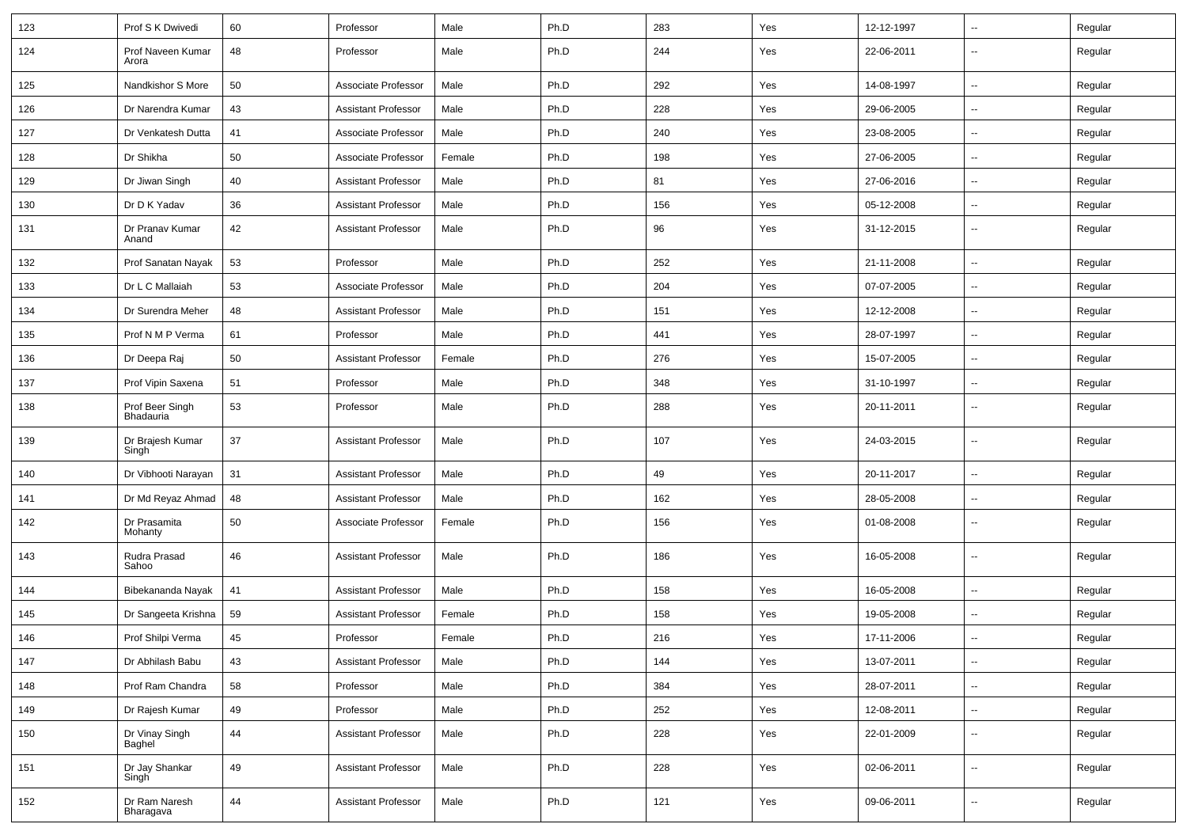| 123 | Prof S K Dwivedi             | 60 | Professor                  | Male   | Ph.D | 283 | Yes | 12-12-1997 | $\mathbf{u}$             | Regular |
|-----|------------------------------|----|----------------------------|--------|------|-----|-----|------------|--------------------------|---------|
| 124 | Prof Naveen Kumar<br>Arora   | 48 | Professor                  | Male   | Ph.D | 244 | Yes | 22-06-2011 | $\mathbf{u}$             | Regular |
| 125 | Nandkishor S More            | 50 | Associate Professor        | Male   | Ph.D | 292 | Yes | 14-08-1997 | $\sim$                   | Regular |
| 126 | Dr Narendra Kumar            | 43 | <b>Assistant Professor</b> | Male   | Ph.D | 228 | Yes | 29-06-2005 | --                       | Regular |
| 127 | Dr Venkatesh Dutta           | 41 | Associate Professor        | Male   | Ph.D | 240 | Yes | 23-08-2005 | $\overline{\phantom{a}}$ | Regular |
| 128 | Dr Shikha                    | 50 | Associate Professor        | Female | Ph.D | 198 | Yes | 27-06-2005 | $\sim$                   | Regular |
| 129 | Dr Jiwan Singh               | 40 | <b>Assistant Professor</b> | Male   | Ph.D | 81  | Yes | 27-06-2016 | $\sim$                   | Regular |
| 130 | Dr D K Yadav                 | 36 | <b>Assistant Professor</b> | Male   | Ph.D | 156 | Yes | 05-12-2008 | $\sim$                   | Regular |
| 131 | Dr Pranav Kumar<br>Anand     | 42 | <b>Assistant Professor</b> | Male   | Ph.D | 96  | Yes | 31-12-2015 | $\mathbf{u}$             | Regular |
| 132 | Prof Sanatan Nayak           | 53 | Professor                  | Male   | Ph.D | 252 | Yes | 21-11-2008 | $\sim$                   | Regular |
| 133 | Dr L C Mallaiah              | 53 | Associate Professor        | Male   | Ph.D | 204 | Yes | 07-07-2005 | $\mathbf{u}$             | Regular |
| 134 | Dr Surendra Meher            | 48 | <b>Assistant Professor</b> | Male   | Ph.D | 151 | Yes | 12-12-2008 | $\overline{\phantom{a}}$ | Regular |
| 135 | Prof N M P Verma             | 61 | Professor                  | Male   | Ph.D | 441 | Yes | 28-07-1997 | $\mathbf{u}$             | Regular |
| 136 | Dr Deepa Raj                 | 50 | <b>Assistant Professor</b> | Female | Ph.D | 276 | Yes | 15-07-2005 | $\mathbf{u}$             | Regular |
| 137 | Prof Vipin Saxena            | 51 | Professor                  | Male   | Ph.D | 348 | Yes | 31-10-1997 | $\mathbf{u}$             | Regular |
| 138 | Prof Beer Singh<br>Bhadauria | 53 | Professor                  | Male   | Ph.D | 288 | Yes | 20-11-2011 | $\sim$                   | Regular |
| 139 | Dr Brajesh Kumar<br>Singh    | 37 | <b>Assistant Professor</b> | Male   | Ph.D | 107 | Yes | 24-03-2015 | $\mathbf{u}$             | Regular |
| 140 | Dr Vibhooti Narayan          | 31 | <b>Assistant Professor</b> | Male   | Ph.D | 49  | Yes | 20-11-2017 | $\sim$                   | Regular |
| 141 | Dr Md Reyaz Ahmad            | 48 | <b>Assistant Professor</b> | Male   | Ph.D | 162 | Yes | 28-05-2008 | --                       | Regular |
| 142 | Dr Prasamita<br>Mohanty      | 50 | Associate Professor        | Female | Ph.D | 156 | Yes | 01-08-2008 | $\overline{\phantom{a}}$ | Regular |
| 143 | Rudra Prasad<br>Sahoo        | 46 | <b>Assistant Professor</b> | Male   | Ph.D | 186 | Yes | 16-05-2008 | $\mathbf{u}$             | Regular |
| 144 | Bibekananda Nayak            | 41 | <b>Assistant Professor</b> | Male   | Ph.D | 158 | Yes | 16-05-2008 | $\mathbf{u}$             | Regular |
| 145 | Dr Sangeeta Krishna          | 59 | <b>Assistant Professor</b> | Female | Ph.D | 158 | Yes | 19-05-2008 | $\mathbf{u}$             | Regular |
| 146 | Prof Shilpi Verma            | 45 | Professor                  | Female | Ph.D | 216 | Yes | 17-11-2006 | --                       | Regular |
| 147 | Dr Abhilash Babu             | 43 | <b>Assistant Professor</b> | Male   | Ph.D | 144 | Yes | 13-07-2011 | $\sim$                   | Regular |
| 148 | Prof Ram Chandra             | 58 | Professor                  | Male   | Ph.D | 384 | Yes | 28-07-2011 | $\sim$                   | Regular |
| 149 | Dr Rajesh Kumar              | 49 | Professor                  | Male   | Ph.D | 252 | Yes | 12-08-2011 | $\overline{\phantom{a}}$ | Regular |
| 150 | Dr Vinay Singh<br>Baghel     | 44 | <b>Assistant Professor</b> | Male   | Ph.D | 228 | Yes | 22-01-2009 | $\overline{\phantom{a}}$ | Regular |
| 151 | Dr Jay Shankar<br>Singh      | 49 | <b>Assistant Professor</b> | Male   | Ph.D | 228 | Yes | 02-06-2011 | $\overline{\phantom{a}}$ | Regular |
| 152 | Dr Ram Naresh<br>Bharagava   | 44 | <b>Assistant Professor</b> | Male   | Ph.D | 121 | Yes | 09-06-2011 | $\overline{\phantom{a}}$ | Regular |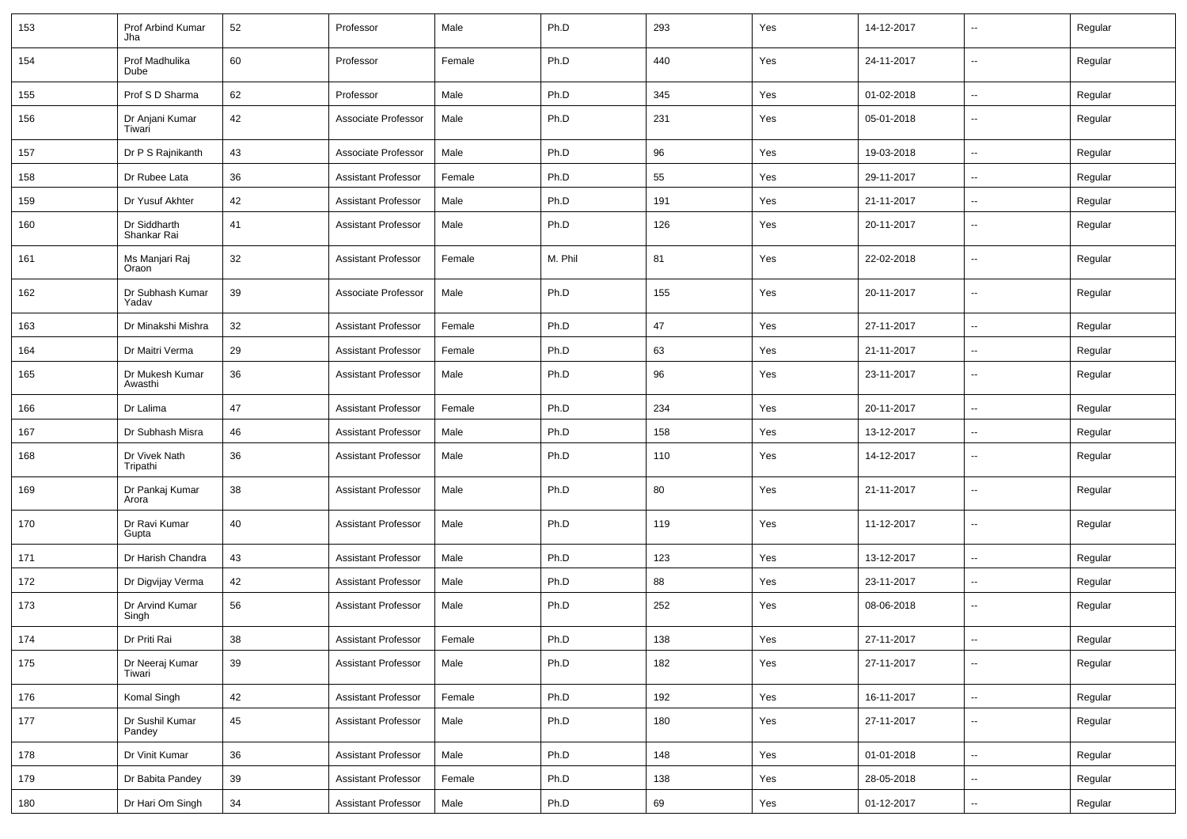| 153 | Prof Arbind Kumar<br>Jha    | 52 | Professor                  | Male   | Ph.D    | 293 | Yes | 14-12-2017 | $\mathbf{u}$             | Regular |
|-----|-----------------------------|----|----------------------------|--------|---------|-----|-----|------------|--------------------------|---------|
| 154 | Prof Madhulika<br>Dube      | 60 | Professor                  | Female | Ph.D    | 440 | Yes | 24-11-2017 | $\sim$                   | Regular |
| 155 | Prof S D Sharma             | 62 | Professor                  | Male   | Ph.D    | 345 | Yes | 01-02-2018 | $\sim$                   | Regular |
| 156 | Dr Anjani Kumar<br>Tiwari   | 42 | Associate Professor        | Male   | Ph.D    | 231 | Yes | 05-01-2018 | $\sim$                   | Regular |
| 157 | Dr P S Rajnikanth           | 43 | Associate Professor        | Male   | Ph.D    | 96  | Yes | 19-03-2018 | $\sim$                   | Regular |
| 158 | Dr Rubee Lata               | 36 | Assistant Professor        | Female | Ph.D    | 55  | Yes | 29-11-2017 | $\overline{\phantom{a}}$ | Regular |
| 159 | Dr Yusuf Akhter             | 42 | <b>Assistant Professor</b> | Male   | Ph.D    | 191 | Yes | 21-11-2017 | $\overline{\phantom{a}}$ | Regular |
| 160 | Dr Siddharth<br>Shankar Rai | 41 | <b>Assistant Professor</b> | Male   | Ph.D    | 126 | Yes | 20-11-2017 | $\overline{\phantom{a}}$ | Regular |
| 161 | Ms Manjari Raj<br>Oraon     | 32 | <b>Assistant Professor</b> | Female | M. Phil | 81  | Yes | 22-02-2018 | $\mathbf{u}$             | Regular |
| 162 | Dr Subhash Kumar<br>Yadav   | 39 | Associate Professor        | Male   | Ph.D    | 155 | Yes | 20-11-2017 | $\mathbf{u}$             | Regular |
| 163 | Dr Minakshi Mishra          | 32 | Assistant Professor        | Female | Ph.D    | 47  | Yes | 27-11-2017 | $\mathbf{u}$             | Regular |
| 164 | Dr Maitri Verma             | 29 | <b>Assistant Professor</b> | Female | Ph.D    | 63  | Yes | 21-11-2017 | $\mathbf{u}$             | Regular |
| 165 | Dr Mukesh Kumar<br>Awasthi  | 36 | <b>Assistant Professor</b> | Male   | Ph.D    | 96  | Yes | 23-11-2017 | $\mathbf{u}$             | Regular |
| 166 | Dr Lalima                   | 47 | <b>Assistant Professor</b> | Female | Ph.D    | 234 | Yes | 20-11-2017 | $\sim$                   | Regular |
| 167 | Dr Subhash Misra            | 46 | Assistant Professor        | Male   | Ph.D    | 158 | Yes | 13-12-2017 | $\sim$                   | Regular |
| 168 | Dr Vivek Nath<br>Tripathi   | 36 | <b>Assistant Professor</b> | Male   | Ph.D    | 110 | Yes | 14-12-2017 | $\overline{\phantom{a}}$ | Regular |
| 169 | Dr Pankaj Kumar<br>Arora    | 38 | <b>Assistant Professor</b> | Male   | Ph.D    | 80  | Yes | 21-11-2017 | $\overline{\phantom{a}}$ | Regular |
| 170 | Dr Ravi Kumar<br>Gupta      | 40 | Assistant Professor        | Male   | Ph.D    | 119 | Yes | 11-12-2017 | $\overline{\phantom{a}}$ | Regular |
| 171 | Dr Harish Chandra           | 43 | <b>Assistant Professor</b> | Male   | Ph.D    | 123 | Yes | 13-12-2017 | $\sim$                   | Regular |
| 172 | Dr Digvijay Verma           | 42 | <b>Assistant Professor</b> | Male   | Ph.D    | 88  | Yes | 23-11-2017 | $\overline{\phantom{a}}$ | Regular |
| 173 | Dr Arvind Kumar<br>Singh    | 56 | <b>Assistant Professor</b> | Male   | Ph.D    | 252 | Yes | 08-06-2018 | $\overline{\phantom{a}}$ | Regular |
| 174 | Dr Priti Rai                | 38 | <b>Assistant Professor</b> | Female | Ph.D    | 138 | Yes | 27-11-2017 | $\overline{\phantom{a}}$ | Regular |
| 175 | Dr Neeraj Kumar<br>Tiwari   | 39 | <b>Assistant Professor</b> | Male   | Ph.D    | 182 | Yes | 27-11-2017 | $\sim$                   | Regular |
| 176 | Komal Singh                 | 42 | <b>Assistant Professor</b> | Female | Ph.D    | 192 | Yes | 16-11-2017 | $\sim$                   | Regular |
| 177 | Dr Sushil Kumar<br>Pandey   | 45 | <b>Assistant Professor</b> | Male   | Ph.D    | 180 | Yes | 27-11-2017 | $\sim$                   | Regular |
| 178 | Dr Vinit Kumar              | 36 | <b>Assistant Professor</b> | Male   | Ph.D    | 148 | Yes | 01-01-2018 | $\sim$                   | Regular |
| 179 | Dr Babita Pandey            | 39 | <b>Assistant Professor</b> | Female | Ph.D    | 138 | Yes | 28-05-2018 | $\sim$                   | Regular |
| 180 | Dr Hari Om Singh            | 34 | <b>Assistant Professor</b> | Male   | Ph.D    | 69  | Yes | 01-12-2017 | $\overline{\phantom{a}}$ | Regular |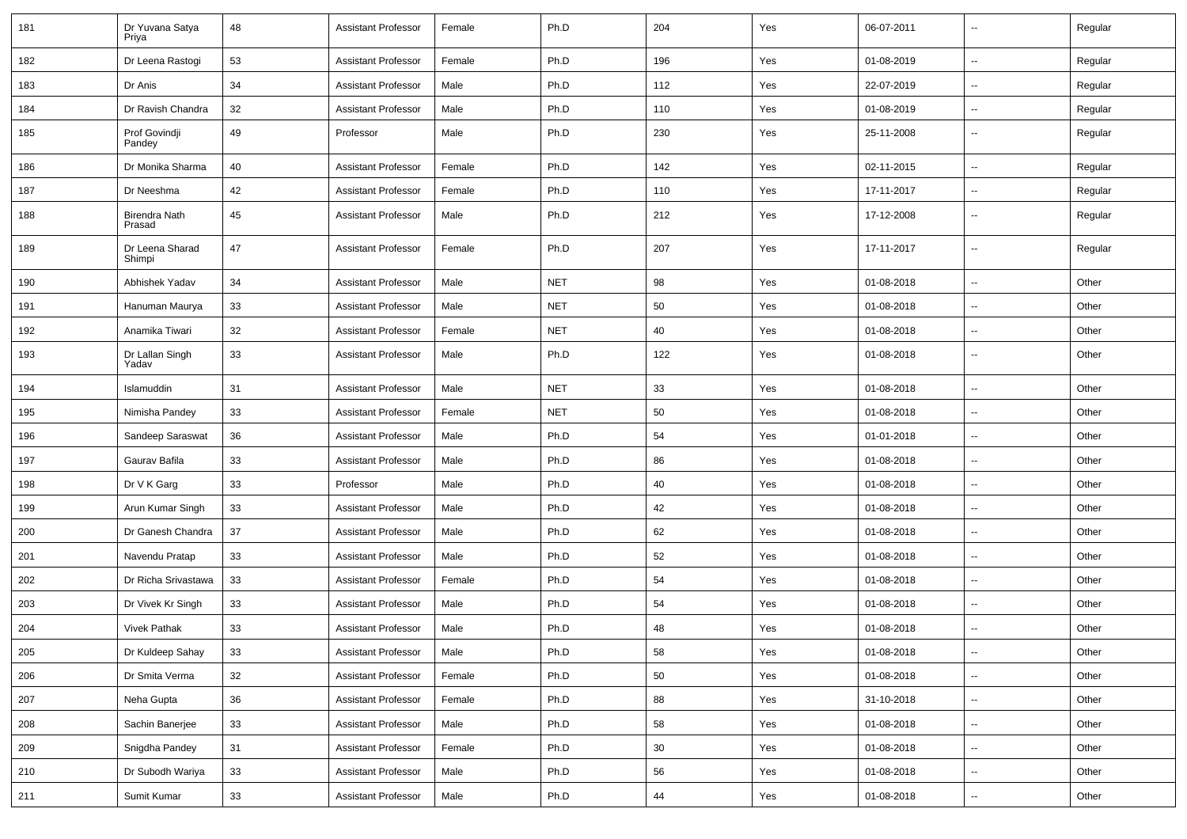| 181 | Dr Yuvana Satya<br>Priya       | 48 | <b>Assistant Professor</b> | Female | Ph.D       | 204 | Yes | 06-07-2011 | $\overline{\phantom{a}}$ | Regular |
|-----|--------------------------------|----|----------------------------|--------|------------|-----|-----|------------|--------------------------|---------|
| 182 | Dr Leena Rastogi               | 53 | <b>Assistant Professor</b> | Female | Ph.D       | 196 | Yes | 01-08-2019 | ⊷.                       | Regular |
| 183 | Dr Anis                        | 34 | <b>Assistant Professor</b> | Male   | Ph.D       | 112 | Yes | 22-07-2019 | --                       | Regular |
| 184 | Dr Ravish Chandra              | 32 | <b>Assistant Professor</b> | Male   | Ph.D       | 110 | Yes | 01-08-2019 | --                       | Regular |
| 185 | Prof Govindji<br>Pandey        | 49 | Professor                  | Male   | Ph.D       | 230 | Yes | 25-11-2008 | --                       | Regular |
| 186 | Dr Monika Sharma               | 40 | <b>Assistant Professor</b> | Female | Ph.D       | 142 | Yes | 02-11-2015 | $\overline{a}$           | Regular |
| 187 | Dr Neeshma                     | 42 | <b>Assistant Professor</b> | Female | Ph.D       | 110 | Yes | 17-11-2017 | $\overline{a}$           | Regular |
| 188 | <b>Birendra Nath</b><br>Prasad | 45 | <b>Assistant Professor</b> | Male   | Ph.D       | 212 | Yes | 17-12-2008 | ⊷.                       | Regular |
| 189 | Dr Leena Sharad<br>Shimpi      | 47 | <b>Assistant Professor</b> | Female | Ph.D       | 207 | Yes | 17-11-2017 | $\overline{\phantom{a}}$ | Regular |
| 190 | Abhishek Yadav                 | 34 | <b>Assistant Professor</b> | Male   | <b>NET</b> | 98  | Yes | 01-08-2018 | $\overline{\phantom{a}}$ | Other   |
| 191 | Hanuman Maurya                 | 33 | <b>Assistant Professor</b> | Male   | <b>NET</b> | 50  | Yes | 01-08-2018 | ⊷.                       | Other   |
| 192 | Anamika Tiwari                 | 32 | <b>Assistant Professor</b> | Female | <b>NET</b> | 40  | Yes | 01-08-2018 | --                       | Other   |
| 193 | Dr Lallan Singh<br>Yadav       | 33 | <b>Assistant Professor</b> | Male   | Ph.D       | 122 | Yes | 01-08-2018 | --                       | Other   |
| 194 | Islamuddin                     | 31 | <b>Assistant Professor</b> | Male   | <b>NET</b> | 33  | Yes | 01-08-2018 | --                       | Other   |
| 195 | Nimisha Pandey                 | 33 | <b>Assistant Professor</b> | Female | <b>NET</b> | 50  | Yes | 01-08-2018 | --                       | Other   |
| 196 | Sandeep Saraswat               | 36 | <b>Assistant Professor</b> | Male   | Ph.D       | 54  | Yes | 01-01-2018 | --                       | Other   |
| 197 | Gaurav Bafila                  | 33 | <b>Assistant Professor</b> | Male   | Ph.D       | 86  | Yes | 01-08-2018 | $\overline{\phantom{a}}$ | Other   |
| 198 | Dr V K Garg                    | 33 | Professor                  | Male   | Ph.D       | 40  | Yes | 01-08-2018 | ⊷.                       | Other   |
| 199 | Arun Kumar Singh               | 33 | <b>Assistant Professor</b> | Male   | Ph.D       | 42  | Yes | 01-08-2018 | -−                       | Other   |
| 200 | Dr Ganesh Chandra              | 37 | <b>Assistant Professor</b> | Male   | Ph.D       | 62  | Yes | 01-08-2018 | -−                       | Other   |
| 201 | Navendu Pratap                 | 33 | <b>Assistant Professor</b> | Male   | Ph.D       | 52  | Yes | 01-08-2018 | --                       | Other   |
| 202 | Dr Richa Srivastawa            | 33 | <b>Assistant Professor</b> | Female | Ph.D       | 54  | Yes | 01-08-2018 | $\overline{a}$           | Other   |
| 203 | Dr Vivek Kr Singh              | 33 | <b>Assistant Professor</b> | Male   | Ph.D       | 54  | Yes | 01-08-2018 | -−                       | Other   |
| 204 | <b>Vivek Pathak</b>            | 33 | <b>Assistant Professor</b> | Male   | Ph.D       | 48  | Yes | 01-08-2018 | н.                       | Other   |
| 205 | Dr Kuldeep Sahay               | 33 | <b>Assistant Professor</b> | Male   | Ph.D       | 58  | Yes | 01-08-2018 | $\sim$                   | Other   |
| 206 | Dr Smita Verma                 | 32 | <b>Assistant Professor</b> | Female | Ph.D       | 50  | Yes | 01-08-2018 | $\overline{\phantom{a}}$ | Other   |
| 207 | Neha Gupta                     | 36 | <b>Assistant Professor</b> | Female | Ph.D       | 88  | Yes | 31-10-2018 | ш,                       | Other   |
| 208 | Sachin Banerjee                | 33 | <b>Assistant Professor</b> | Male   | Ph.D       | 58  | Yes | 01-08-2018 | $\overline{\phantom{a}}$ | Other   |
| 209 | Snigdha Pandey                 | 31 | Assistant Professor        | Female | Ph.D       | 30  | Yes | 01-08-2018 | $\sim$                   | Other   |
| 210 | Dr Subodh Wariya               | 33 | <b>Assistant Professor</b> | Male   | Ph.D       | 56  | Yes | 01-08-2018 | $\overline{\phantom{a}}$ | Other   |
| 211 | Sumit Kumar                    | 33 | <b>Assistant Professor</b> | Male   | Ph.D       | 44  | Yes | 01-08-2018 | ₩,                       | Other   |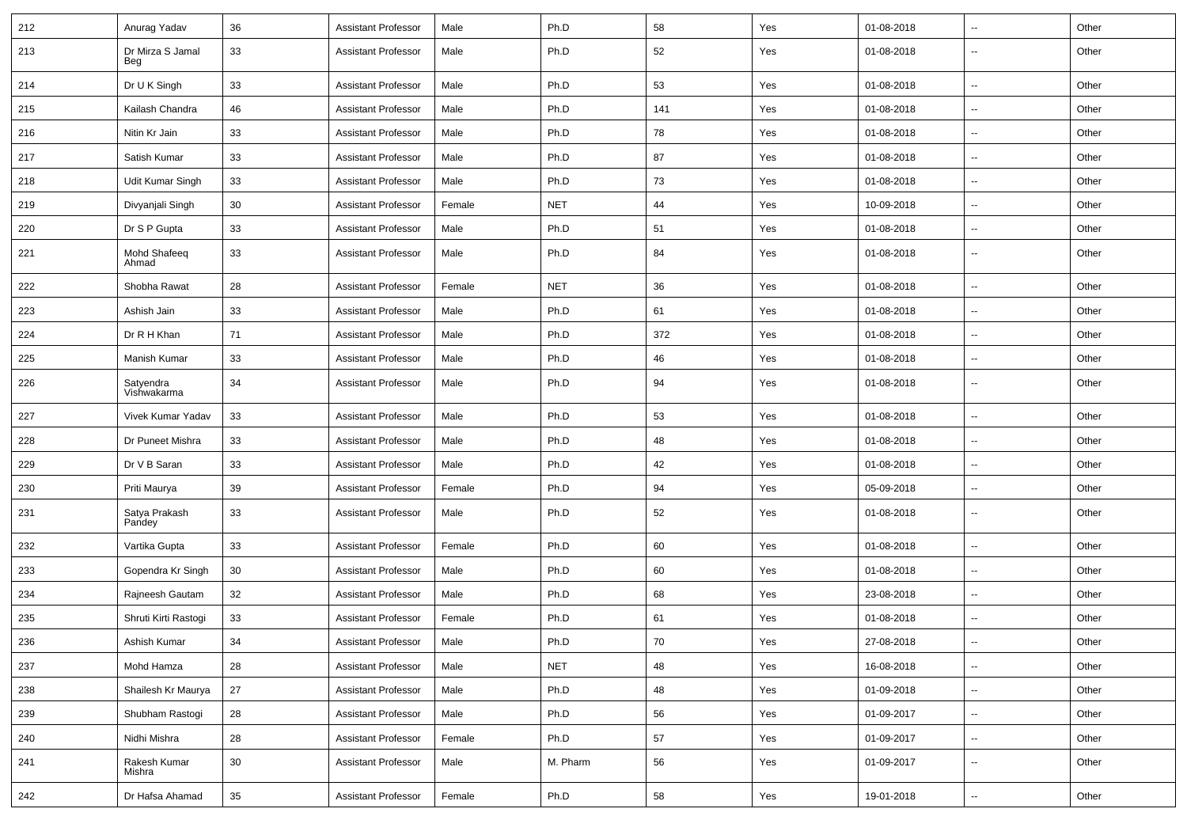| 212 | Anurag Yadav             | 36 | <b>Assistant Professor</b> | Male   | Ph.D       | 58  | Yes | 01-08-2018 | ⊷.                       | Other |
|-----|--------------------------|----|----------------------------|--------|------------|-----|-----|------------|--------------------------|-------|
| 213 | Dr Mirza S Jamal<br>Beg  | 33 | <b>Assistant Professor</b> | Male   | Ph.D       | 52  | Yes | 01-08-2018 | --                       | Other |
| 214 | Dr U K Singh             | 33 | <b>Assistant Professor</b> | Male   | Ph.D       | 53  | Yes | 01-08-2018 | н.                       | Other |
| 215 | Kailash Chandra          | 46 | <b>Assistant Professor</b> | Male   | Ph.D       | 141 | Yes | 01-08-2018 | -−                       | Other |
| 216 | Nitin Kr Jain            | 33 | <b>Assistant Professor</b> | Male   | Ph.D       | 78  | Yes | 01-08-2018 | $\overline{\phantom{a}}$ | Other |
| 217 | Satish Kumar             | 33 | <b>Assistant Professor</b> | Male   | Ph.D       | 87  | Yes | 01-08-2018 | -−                       | Other |
| 218 | Udit Kumar Singh         | 33 | <b>Assistant Professor</b> | Male   | Ph.D       | 73  | Yes | 01-08-2018 | $\overline{\phantom{a}}$ | Other |
| 219 | Divyanjali Singh         | 30 | <b>Assistant Professor</b> | Female | <b>NET</b> | 44  | Yes | 10-09-2018 | $\overline{\phantom{a}}$ | Other |
| 220 | Dr S P Gupta             | 33 | <b>Assistant Professor</b> | Male   | Ph.D       | 51  | Yes | 01-08-2018 | $\overline{\phantom{a}}$ | Other |
| 221 | Mohd Shafeeq<br>Ahmad    | 33 | <b>Assistant Professor</b> | Male   | Ph.D       | 84  | Yes | 01-08-2018 | $\overline{\phantom{a}}$ | Other |
| 222 | Shobha Rawat             | 28 | <b>Assistant Professor</b> | Female | <b>NET</b> | 36  | Yes | 01-08-2018 | $\sim$                   | Other |
| 223 | Ashish Jain              | 33 | <b>Assistant Professor</b> | Male   | Ph.D       | 61  | Yes | 01-08-2018 | $\overline{\phantom{a}}$ | Other |
| 224 | Dr R H Khan              | 71 | <b>Assistant Professor</b> | Male   | Ph.D       | 372 | Yes | 01-08-2018 | --                       | Other |
| 225 | <b>Manish Kumar</b>      | 33 | <b>Assistant Professor</b> | Male   | Ph.D       | 46  | Yes | 01-08-2018 | Ξ.                       | Other |
| 226 | Satyendra<br>Vishwakarma | 34 | <b>Assistant Professor</b> | Male   | Ph.D       | 94  | Yes | 01-08-2018 | $\overline{\phantom{a}}$ | Other |
| 227 | Vivek Kumar Yadav        | 33 | <b>Assistant Professor</b> | Male   | Ph.D       | 53  | Yes | 01-08-2018 | $\sim$                   | Other |
| 228 | Dr Puneet Mishra         | 33 | <b>Assistant Professor</b> | Male   | Ph.D       | 48  | Yes | 01-08-2018 | -−                       | Other |
| 229 | Dr V B Saran             | 33 | <b>Assistant Professor</b> | Male   | Ph.D       | 42  | Yes | 01-08-2018 | $\sim$                   | Other |
| 230 | Priti Maurya             | 39 | <b>Assistant Professor</b> | Female | Ph.D       | 94  | Yes | 05-09-2018 | --                       | Other |
| 231 | Satya Prakash<br>Pandey  | 33 | <b>Assistant Professor</b> | Male   | Ph.D       | 52  | Yes | 01-08-2018 | --                       | Other |
| 232 | Vartika Gupta            | 33 | <b>Assistant Professor</b> | Female | Ph.D       | 60  | Yes | 01-08-2018 | --                       | Other |
| 233 | Gopendra Kr Singh        | 30 | <b>Assistant Professor</b> | Male   | Ph.D       | 60  | Yes | 01-08-2018 | $\mathbf{u}$             | Other |
| 234 | Rajneesh Gautam          | 32 | <b>Assistant Professor</b> | Male   | Ph.D       | 68  | Yes | 23-08-2018 | н.                       | Other |
| 235 | Shruti Kirti Rastogi     | 33 | <b>Assistant Professor</b> | Female | Ph.D       | 61  | Yes | 01-08-2018 | -−                       | Other |
| 236 | Ashish Kumar             | 34 | <b>Assistant Professor</b> | Male   | Ph.D       | 70  | Yes | 27-08-2018 | $\sim$                   | Other |
| 237 | Mohd Hamza               | 28 | <b>Assistant Professor</b> | Male   | <b>NET</b> | 48  | Yes | 16-08-2018 | $\overline{\phantom{a}}$ | Other |
| 238 | Shailesh Kr Maurya       | 27 | <b>Assistant Professor</b> | Male   | Ph.D       | 48  | Yes | 01-09-2018 | Ξ.                       | Other |
| 239 | Shubham Rastoqi          | 28 | <b>Assistant Professor</b> | Male   | Ph.D       | 56  | Yes | 01-09-2017 | н.                       | Other |
| 240 | Nidhi Mishra             | 28 | <b>Assistant Professor</b> | Female | Ph.D       | 57  | Yes | 01-09-2017 | $\sim$                   | Other |
| 241 | Rakesh Kumar<br>Mishra   | 30 | <b>Assistant Professor</b> | Male   | M. Pharm   | 56  | Yes | 01-09-2017 | н.                       | Other |
| 242 | Dr Hafsa Ahamad          | 35 | <b>Assistant Professor</b> | Female | Ph.D       | 58  | Yes | 19-01-2018 | н.                       | Other |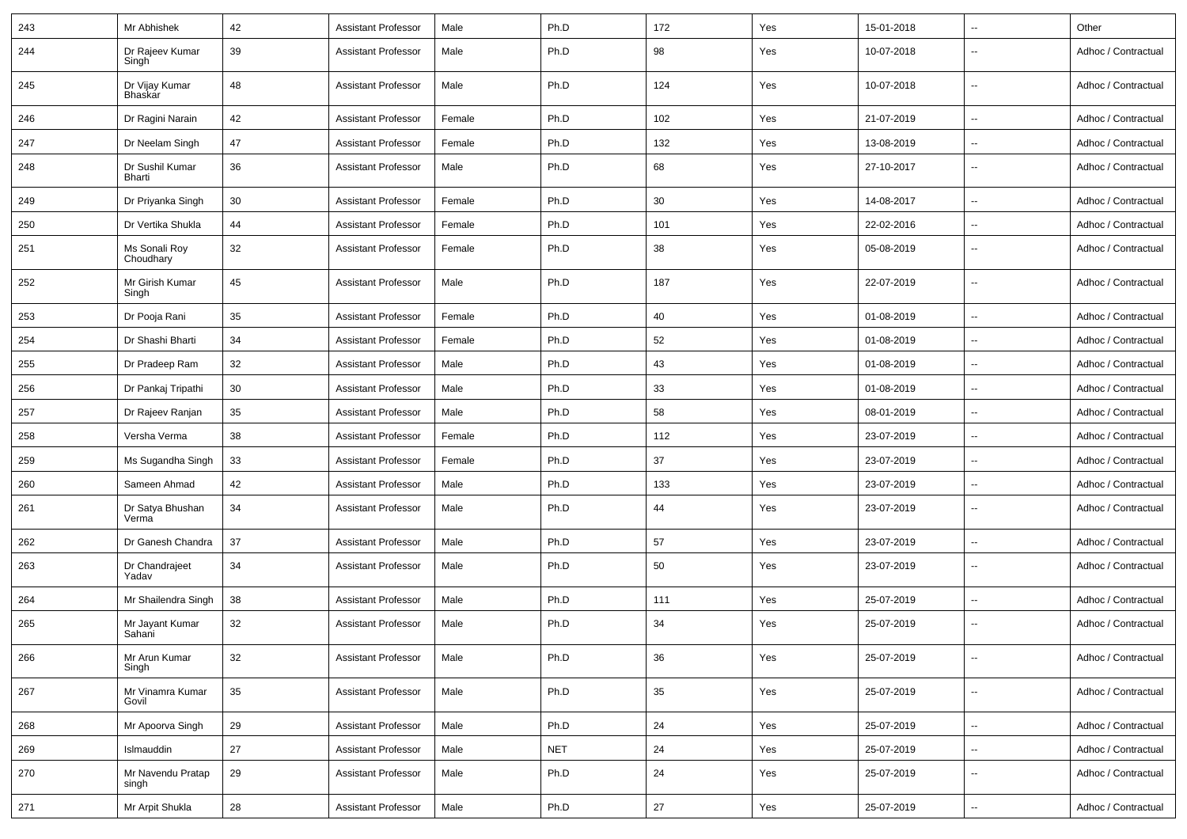| 243 | Mr Abhishek                      | 42 | <b>Assistant Professor</b> | Male   | Ph.D       | 172 | Yes | 15-01-2018 | $\overline{\phantom{a}}$ | Other               |
|-----|----------------------------------|----|----------------------------|--------|------------|-----|-----|------------|--------------------------|---------------------|
| 244 | Dr Rajeev Kumar<br>Singh         | 39 | <b>Assistant Professor</b> | Male   | Ph.D       | 98  | Yes | 10-07-2018 | ۰.                       | Adhoc / Contractual |
| 245 | Dr Vijay Kumar<br><b>Bhaskar</b> | 48 | <b>Assistant Professor</b> | Male   | Ph.D       | 124 | Yes | 10-07-2018 | $\overline{\phantom{a}}$ | Adhoc / Contractual |
| 246 | Dr Ragini Narain                 | 42 | <b>Assistant Professor</b> | Female | Ph.D       | 102 | Yes | 21-07-2019 | $\overline{\phantom{a}}$ | Adhoc / Contractual |
| 247 | Dr Neelam Singh                  | 47 | <b>Assistant Professor</b> | Female | Ph.D       | 132 | Yes | 13-08-2019 | ۰.                       | Adhoc / Contractual |
| 248 | Dr Sushil Kumar<br>Bharti        | 36 | <b>Assistant Professor</b> | Male   | Ph.D       | 68  | Yes | 27-10-2017 | --                       | Adhoc / Contractual |
| 249 | Dr Priyanka Singh                | 30 | <b>Assistant Professor</b> | Female | Ph.D       | 30  | Yes | 14-08-2017 | --                       | Adhoc / Contractual |
| 250 | Dr Vertika Shukla                | 44 | <b>Assistant Professor</b> | Female | Ph.D       | 101 | Yes | 22-02-2016 | $\overline{\phantom{a}}$ | Adhoc / Contractual |
| 251 | Ms Sonali Roy<br>Choudhary       | 32 | <b>Assistant Professor</b> | Female | Ph.D       | 38  | Yes | 05-08-2019 | $\sim$                   | Adhoc / Contractual |
| 252 | Mr Girish Kumar<br>Singh         | 45 | <b>Assistant Professor</b> | Male   | Ph.D       | 187 | Yes | 22-07-2019 | $\overline{\phantom{a}}$ | Adhoc / Contractual |
| 253 | Dr Pooja Rani                    | 35 | <b>Assistant Professor</b> | Female | Ph.D       | 40  | Yes | 01-08-2019 | $\sim$                   | Adhoc / Contractual |
| 254 | Dr Shashi Bharti                 | 34 | <b>Assistant Professor</b> | Female | Ph.D       | 52  | Yes | 01-08-2019 | $\overline{\phantom{a}}$ | Adhoc / Contractual |
| 255 | Dr Pradeep Ram                   | 32 | <b>Assistant Professor</b> | Male   | Ph.D       | 43  | Yes | 01-08-2019 | --                       | Adhoc / Contractual |
| 256 | Dr Pankaj Tripathi               | 30 | <b>Assistant Professor</b> | Male   | Ph.D       | 33  | Yes | 01-08-2019 | $\overline{\phantom{a}}$ | Adhoc / Contractual |
| 257 | Dr Rajeev Ranjan                 | 35 | <b>Assistant Professor</b> | Male   | Ph.D       | 58  | Yes | 08-01-2019 | --                       | Adhoc / Contractual |
| 258 | Versha Verma                     | 38 | <b>Assistant Professor</b> | Female | Ph.D       | 112 | Yes | 23-07-2019 | ۰.                       | Adhoc / Contractual |
| 259 | Ms Sugandha Singh                | 33 | <b>Assistant Professor</b> | Female | Ph.D       | 37  | Yes | 23-07-2019 | $\sim$                   | Adhoc / Contractual |
| 260 | Sameen Ahmad                     | 42 | <b>Assistant Professor</b> | Male   | Ph.D       | 133 | Yes | 23-07-2019 | $\overline{\phantom{a}}$ | Adhoc / Contractual |
| 261 | Dr Satya Bhushan<br>Verma        | 34 | <b>Assistant Professor</b> | Male   | Ph.D       | 44  | Yes | 23-07-2019 | --                       | Adhoc / Contractual |
| 262 | Dr Ganesh Chandra                | 37 | <b>Assistant Professor</b> | Male   | Ph.D       | 57  | Yes | 23-07-2019 | $\overline{\phantom{a}}$ | Adhoc / Contractual |
| 263 | Dr Chandrajeet<br>Yadav          | 34 | <b>Assistant Professor</b> | Male   | Ph.D       | 50  | Yes | 23-07-2019 | ۰.                       | Adhoc / Contractual |
| 264 | Mr Shailendra Singh              | 38 | <b>Assistant Professor</b> | Male   | Ph.D       | 111 | Yes | 25-07-2019 | $\overline{\phantom{a}}$ | Adhoc / Contractual |
| 265 | Mr Jayant Kumar<br>Sahani        | 32 | <b>Assistant Professor</b> | Male   | Ph.D       | 34  | Yes | 25-07-2019 | --                       | Adhoc / Contractual |
| 266 | Mr Arun Kumar<br>Singh           | 32 | <b>Assistant Professor</b> | Male   | Ph.D       | 36  | Yes | 25-07-2019 | $\overline{\phantom{a}}$ | Adhoc / Contractual |
| 267 | Mr Vinamra Kumar<br>Govil        | 35 | <b>Assistant Professor</b> | Male   | Ph.D       | 35  | Yes | 25-07-2019 | ۰.                       | Adhoc / Contractual |
| 268 | Mr Apoorva Singh                 | 29 | <b>Assistant Professor</b> | Male   | Ph.D       | 24  | Yes | 25-07-2019 | --                       | Adhoc / Contractual |
| 269 | Islmauddin                       | 27 | <b>Assistant Professor</b> | Male   | <b>NET</b> | 24  | Yes | 25-07-2019 | $\overline{\phantom{a}}$ | Adhoc / Contractual |
| 270 | Mr Navendu Pratap<br>singh       | 29 | <b>Assistant Professor</b> | Male   | Ph.D       | 24  | Yes | 25-07-2019 | ۰.                       | Adhoc / Contractual |
| 271 | Mr Arpit Shukla                  | 28 | <b>Assistant Professor</b> | Male   | Ph.D       | 27  | Yes | 25-07-2019 | $\overline{\phantom{a}}$ | Adhoc / Contractual |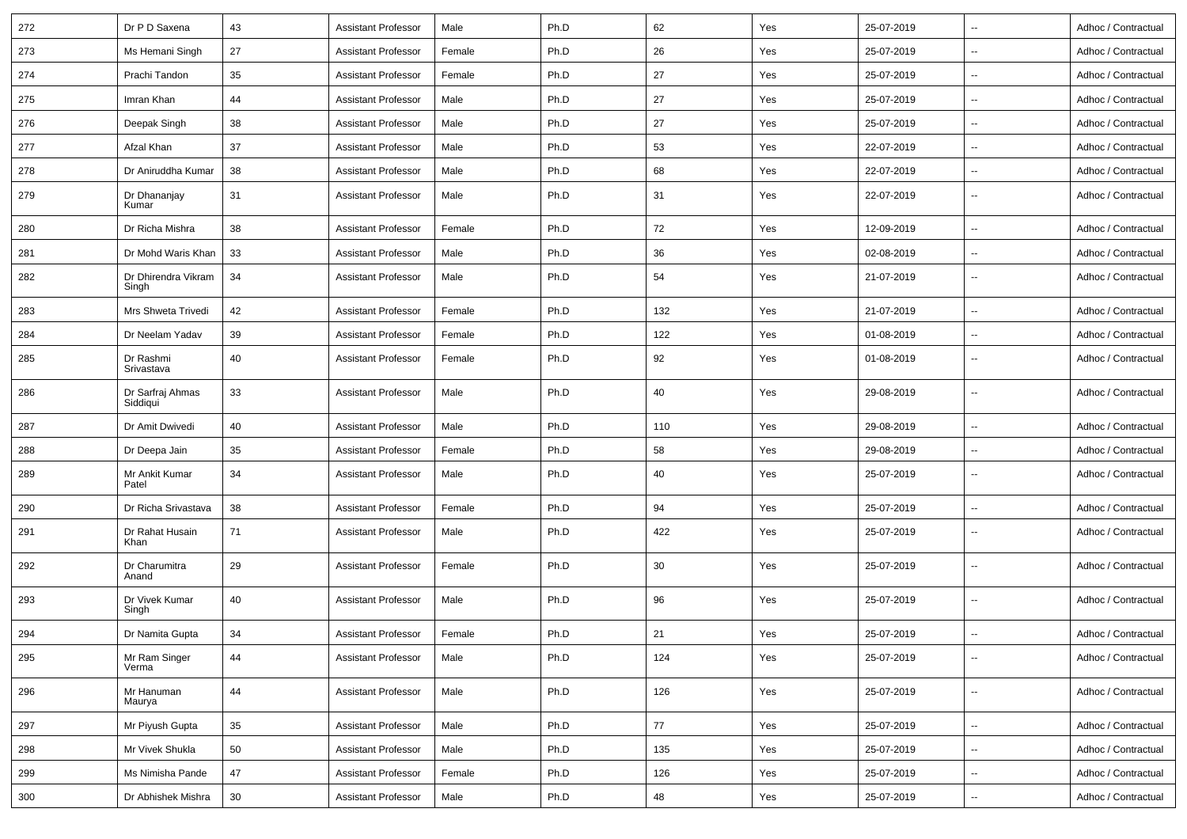| 272 | Dr P D Saxena                | 43 | <b>Assistant Professor</b> | Male   | Ph.D | 62  | Yes | 25-07-2019 | $\mathbf{u}$             | Adhoc / Contractual |
|-----|------------------------------|----|----------------------------|--------|------|-----|-----|------------|--------------------------|---------------------|
| 273 | Ms Hemani Singh              | 27 | Assistant Professor        | Female | Ph.D | 26  | Yes | 25-07-2019 | $\sim$                   | Adhoc / Contractual |
| 274 | Prachi Tandon                | 35 | <b>Assistant Professor</b> | Female | Ph.D | 27  | Yes | 25-07-2019 | $\sim$                   | Adhoc / Contractual |
| 275 | Imran Khan                   | 44 | <b>Assistant Professor</b> | Male   | Ph.D | 27  | Yes | 25-07-2019 | ۰.                       | Adhoc / Contractual |
| 276 | Deepak Singh                 | 38 | <b>Assistant Professor</b> | Male   | Ph.D | 27  | Yes | 25-07-2019 | $\sim$                   | Adhoc / Contractual |
| 277 | Afzal Khan                   | 37 | <b>Assistant Professor</b> | Male   | Ph.D | 53  | Yes | 22-07-2019 | $\mathbf{u}$             | Adhoc / Contractual |
| 278 | Dr Aniruddha Kumar           | 38 | <b>Assistant Professor</b> | Male   | Ph.D | 68  | Yes | 22-07-2019 | $\sim$                   | Adhoc / Contractual |
| 279 | Dr Dhananjay<br>Kumar        | 31 | <b>Assistant Professor</b> | Male   | Ph.D | 31  | Yes | 22-07-2019 | $\sim$                   | Adhoc / Contractual |
| 280 | Dr Richa Mishra              | 38 | Assistant Professor        | Female | Ph.D | 72  | Yes | 12-09-2019 | $\sim$                   | Adhoc / Contractual |
| 281 | Dr Mohd Waris Khan           | 33 | <b>Assistant Professor</b> | Male   | Ph.D | 36  | Yes | 02-08-2019 | $\sim$                   | Adhoc / Contractual |
| 282 | Dr Dhirendra Vikram<br>Singh | 34 | <b>Assistant Professor</b> | Male   | Ph.D | 54  | Yes | 21-07-2019 | $\sim$                   | Adhoc / Contractual |
| 283 | Mrs Shweta Trivedi           | 42 | <b>Assistant Professor</b> | Female | Ph.D | 132 | Yes | 21-07-2019 | $\overline{\phantom{a}}$ | Adhoc / Contractual |
| 284 | Dr Neelam Yadav              | 39 | <b>Assistant Professor</b> | Female | Ph.D | 122 | Yes | 01-08-2019 | $-$                      | Adhoc / Contractual |
| 285 | Dr Rashmi<br>Srivastava      | 40 | <b>Assistant Professor</b> | Female | Ph.D | 92  | Yes | 01-08-2019 | $\overline{\phantom{a}}$ | Adhoc / Contractual |
| 286 | Dr Sarfraj Ahmas<br>Siddiqui | 33 | <b>Assistant Professor</b> | Male   | Ph.D | 40  | Yes | 29-08-2019 | $\overline{\phantom{a}}$ | Adhoc / Contractual |
| 287 | Dr Amit Dwivedi              | 40 | Assistant Professor        | Male   | Ph.D | 110 | Yes | 29-08-2019 | $\mathbf{u}$             | Adhoc / Contractual |
| 288 | Dr Deepa Jain                | 35 | <b>Assistant Professor</b> | Female | Ph.D | 58  | Yes | 29-08-2019 | $\overline{\phantom{a}}$ | Adhoc / Contractual |
| 289 | Mr Ankit Kumar<br>Patel      | 34 | <b>Assistant Professor</b> | Male   | Ph.D | 40  | Yes | 25-07-2019 | $\overline{\phantom{a}}$ | Adhoc / Contractual |
| 290 | Dr Richa Srivastava          | 38 | <b>Assistant Professor</b> | Female | Ph.D | 94  | Yes | 25-07-2019 | $\sim$                   | Adhoc / Contractual |
| 291 | Dr Rahat Husain<br>Khan      | 71 | <b>Assistant Professor</b> | Male   | Ph.D | 422 | Yes | 25-07-2019 | $\sim$                   | Adhoc / Contractual |
| 292 | Dr Charumitra<br>Anand       | 29 | <b>Assistant Professor</b> | Female | Ph.D | 30  | Yes | 25-07-2019 | $\sim$                   | Adhoc / Contractual |
| 293 | Dr Vivek Kumar<br>Singh      | 40 | <b>Assistant Professor</b> | Male   | Ph.D | 96  | Yes | 25-07-2019 | Ξ.                       | Adhoc / Contractual |
| 294 | Dr Namita Gupta              | 34 | <b>Assistant Professor</b> | Female | Ph.D | 21  | Yes | 25-07-2019 |                          | Adhoc / Contractual |
| 295 | Mr Ram Singer<br>Verma       | 44 | <b>Assistant Professor</b> | Male   | Ph.D | 124 | Yes | 25-07-2019 | $\overline{\phantom{a}}$ | Adhoc / Contractual |
| 296 | Mr Hanuman<br>Maurya         | 44 | <b>Assistant Professor</b> | Male   | Ph.D | 126 | Yes | 25-07-2019 | $\overline{\phantom{a}}$ | Adhoc / Contractual |
| 297 | Mr Piyush Gupta              | 35 | <b>Assistant Professor</b> | Male   | Ph.D | 77  | Yes | 25-07-2019 | --                       | Adhoc / Contractual |
| 298 | Mr Vivek Shukla              | 50 | <b>Assistant Professor</b> | Male   | Ph.D | 135 | Yes | 25-07-2019 | $\overline{\phantom{a}}$ | Adhoc / Contractual |
| 299 | Ms Nimisha Pande             | 47 | <b>Assistant Professor</b> | Female | Ph.D | 126 | Yes | 25-07-2019 | $\sim$                   | Adhoc / Contractual |
| 300 | Dr Abhishek Mishra           | 30 | <b>Assistant Professor</b> | Male   | Ph.D | 48  | Yes | 25-07-2019 | $\sim$                   | Adhoc / Contractual |